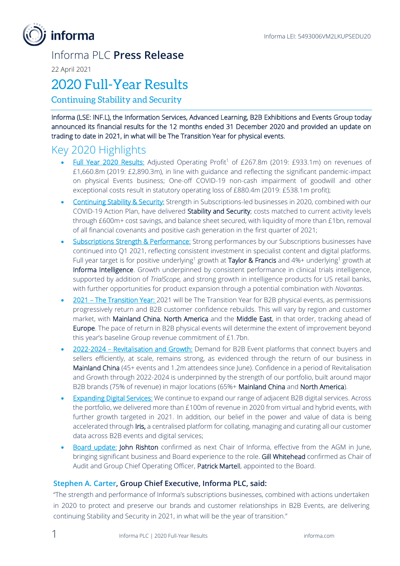

### Informa PLC **Press Release**

22 April 2021

### 2020 Full-Year Results

Continuing Stability and Security

Informa (LSE: INF.L), the Information Services, Advanced Learning, B2B Exhibitions and Events Group today announced its financial results for the 12 months ended 31 December 2020 and provided an update on trading to date in 2021, in what will be The Transition Year for physical events.

### Key 2020 Highlights

- Full Year 2020 Results: Adjusted Operating Profit<sup>1</sup> of £267.8m (2019: £933.1m) on revenues of £1,660.8m (2019: £2,890.3m), in line with guidance and reflecting the significant pandemic-impact on physical Events business; One-off COVID-19 non-cash impairment of goodwill and other exceptional costs result in statutory operating loss of £880.4m (2019: £538.1m profit);
- Continuing Stability & Security: Strength in Subscriptions-led businesses in 2020, combined with our COVID-19 Action Plan, have delivered Stability and Security; costs matched to current activity levels through £600m+ cost savings, and balance sheet secured, with liquidity of more than £1bn, removal of all financial covenants and positive cash generation in the first quarter of 2021;
- Subscriptions Strength & Performance: Strong performances by our Subscriptions businesses have continued into Q1 2021, reflecting consistent investment in specialist content and digital platforms. Full year target is for positive underlying<sup>1</sup> growth at Taylor & Francis and 4%+ underlying<sup>1</sup> growth at Informa Intelligence. Growth underpinned by consistent performance in clinical trials intelligence, supported by addition of *TrialScope,* and strong growth in intelligence products for US retail banks, with further opportunities for product expansion through a potential combination with *Novantas*.
- 2021 The Transition Year: 2021 will be The Transition Year for B2B physical events, as permissions progressively return and B2B customer confidence rebuilds. This will vary by region and customer market, with Mainland China, North America and the Middle East, in that order, tracking ahead of Europe. The pace of return in B2B physical events will determine the extent of improvement beyond this year's baseline Group revenue commitment of £1.7bn.
- 2022-2024 Revitalisation and Growth: Demand for B2B Event platforms that connect buyers and sellers efficiently, at scale, remains strong, as evidenced through the return of our business in Mainland China (45+ events and 1.2m attendees since June). Confidence in a period of Revitalisation and Growth through 2022-2024 is underpinned by the strength of our portfolio, built around major B2B brands (75% of revenue) in major locations (65%+ Mainland China and North America).
- Expanding Digital Services: We continue to expand our range of adjacent B2B digital services. Across the portfolio, we delivered more than £100m of revenue in 2020 from virtual and hybrid events, with further growth targeted in 2021. In addition, our belief in the power and value of data is being accelerated through Iris, a centralised platform for collating, managing and curating all our customer data across B2B events and digital services;
- Board update: John Rishton confirmed as next Chair of Informa, effective from the AGM in June, bringing significant business and Board experience to the role. Gill Whitehead confirmed as Chair of Audit and Group Chief Operating Officer, Patrick Martell, appointed to the Board.

### **Stephen A. Carter, Group Chief Executive, Informa PLC, said:**

"The strength and performance of Informa's subscriptions businesses, combined with actions undertaken in 2020 to protect and preserve our brands and customer relationships in B2B Events, are delivering continuing Stability and Security in 2021, in what will be the year of transition."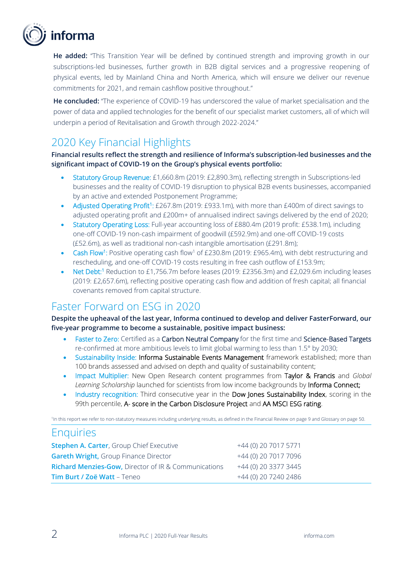

**He added:** "This Transition Year will be defined by continued strength and improving growth in our subscriptions-led businesses, further growth in B2B digital services and a progressive reopening of physical events, led by Mainland China and North America, which will ensure we deliver our revenue commitments for 2021, and remain cashflow positive throughout."

**He concluded:** "The experience of COVID-19 has underscored the value of market specialisation and the power of data and applied technologies for the benefit of our specialist market customers, all of which will underpin a period of Revitalisation and Growth through 2022-2024."

### 2020 Key Financial Highlights

### **Financial results reflect the strength and resilience of Informa's subscription-led businesses and the significant impact of COVID-19 on the Group's physical events portfolio:**

- Statutory Group Revenue: £1,660.8m (2019: £2,890.3m), reflecting strength in Subscriptions-led businesses and the reality of COVID-19 disruption to physical B2B events businesses, accompanied by an active and extended Postponement Programme;
- Adjusted Operating Profit<sup>1</sup>: £267.8m (2019: £933.1m), with more than £400m of direct savings to adjusted operating profit and £200m+ of annualised indirect savings delivered by the end of 2020;
- Statutory Operating Loss: Full-year accounting loss of £880.4m (2019 profit: £538.1m), including one-off COVID-19 non-cash impairment of goodwill (£592.9m) and one-off COVID-19 costs (£52.6m), as well as traditional non-cash intangible amortisation (£291.8m);
- Cash Flow<sup>1</sup>: Positive operating cash flow<sup>1</sup> of £230.8m (2019: £965.4m), with debt restructuring and rescheduling, and one-off COVID-19 costs resulting in free cash outflow of £153.9m;
- Net Debt:<sup>1</sup> Reduction to £1,756.7m before leases (2019: £2356.3m) and £2,029.6m including leases (2019: £2,657.6m), reflecting positive operating cash flow and addition of fresh capital; all financial covenants removed from capital structure.

### Faster Forward on ESG in 2020

**Despite the upheaval of the last year, Informa continued to develop and deliver FasterForward, our five-year programme to become a sustainable, positive impact business:**

- Faster to Zero: Certified as a Carbon Neutral Company for the first time and Science-Based Targets re-confirmed at more ambitious levels to limit global warming to less than 1.5° by 2030;
- Sustainability Inside: Informa Sustainable Events Management framework established; more than 100 brands assessed and advised on depth and quality of sustainability content;
- Impact Multiplier: New Open Research content programmes from Taylor & Francis and *Global Learning Scholarship* launched for scientists from low income backgrounds by Informa Connect;
- Industry recognition: Third consecutive year in the Dow Jones Sustainability Index, scoring in the 99th percentile, A- score in the Carbon Disclosure Project and AA MSCI ESG rating.

1 In this report we refer to non-statutory measures including underlying results, as defined in the Financial Review on page 9 and Glossary on page 50.

### Enquiries

| <b>Stephen A. Carter, Group Chief Executive</b>                 | +44 (0) 20 7017 5771 |
|-----------------------------------------------------------------|----------------------|
| Gareth Wright, Group Finance Director                           | +44 (0) 20 7017 7096 |
| <b>Richard Menzies-Gow, Director of IR &amp; Communications</b> | +44 (0) 20 3377 3445 |
| Tim Burt / Zoë Watt - Teneo                                     | +44 (0) 20 7240 2486 |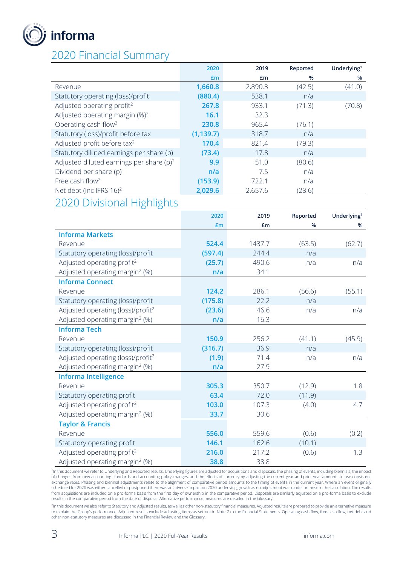

### 2020 Financial Summary

|                                             | 2020       | 2019    | Reported | Underlying <sup>1</sup> |
|---------------------------------------------|------------|---------|----------|-------------------------|
|                                             | £m         | £m      | $\%$     | %                       |
| Revenue                                     | 1,660.8    | 2,890.3 | (42.5)   | (41.0)                  |
| Statutory operating (loss)/profit           | (880.4)    | 538.1   | n/a      |                         |
| Adjusted operating profit <sup>2</sup>      | 267.8      | 933.1   | (71.3)   | (70.8)                  |
| Adjusted operating margin $(\%)^2$          | 16.1       | 32.3    |          |                         |
| Operating cash flow <sup>2</sup>            | 230.8      | 965.4   | (76.1)   |                         |
| Statutory (loss)/profit before tax          | (1, 139.7) | 318.7   | n/a      |                         |
| Adjusted profit before tax <sup>2</sup>     | 170.4      | 821.4   | (79.3)   |                         |
| Statutory diluted earnings per share (p)    | (73.4)     | 17.8    | n/a      |                         |
| Adjusted diluted earnings per share $(p)^2$ | 9.9        | 51.0    | (80.6)   |                         |
| Dividend per share (p)                      | n/a        | 7.5     | n/a      |                         |
| Free cash flow <sup>2</sup>                 | (153.9)    | 722.1   | n/a      |                         |
| Net debt (inc IFRS $16)^2$                  | 2,029.6    | 2,657.6 | (23.6)   |                         |

### 2020 Divisional Highlights

|                                               | 2020    | 2019   | Reported | Underlying <sup>1</sup> |
|-----------------------------------------------|---------|--------|----------|-------------------------|
|                                               | £m      | £m     | %        | %                       |
| <b>Informa Markets</b>                        |         |        |          |                         |
| Revenue                                       | 524.4   | 1437.7 | (63.5)   | (62.7)                  |
| Statutory operating (loss)/profit             | (597.4) | 244.4  | n/a      |                         |
| Adjusted operating profit <sup>2</sup>        | (25.7)  | 490.6  | n/a      | n/a                     |
| Adjusted operating margin <sup>2</sup> (%)    | n/a     | 34.1   |          |                         |
| <b>Informa Connect</b>                        |         |        |          |                         |
| Revenue                                       | 124.2   | 286.1  | (56.6)   | (55.1)                  |
| Statutory operating (loss)/profit             | (175.8) | 22.2   | n/a      |                         |
| Adjusted operating (loss)/profit <sup>2</sup> | (23.6)  | 46.6   | n/a      | n/a                     |
| Adjusted operating margin <sup>2</sup> (%)    | n/a     | 16.3   |          |                         |
| <b>Informa Tech</b>                           |         |        |          |                         |
| Revenue                                       | 150.9   | 256.2  | (41.1)   | (45.9)                  |
| Statutory operating (loss)/profit             | (316.7) | 36.9   | n/a      |                         |
| Adjusted operating (loss)/profit <sup>2</sup> | (1.9)   | 71.4   | n/a      | n/a                     |
| Adjusted operating margin <sup>2</sup> (%)    | n/a     | 27.9   |          |                         |
| <b>Informa Intelligence</b>                   |         |        |          |                         |
| Revenue                                       | 305.3   | 350.7  | (12.9)   | 1.8                     |
| Statutory operating profit                    | 63.4    | 72.0   | (11.9)   |                         |
| Adjusted operating profit <sup>2</sup>        | 103.0   | 107.3  | (4.0)    | 4.7                     |
| Adjusted operating margin <sup>2</sup> (%)    | 33.7    | 30.6   |          |                         |
| <b>Taylor &amp; Francis</b>                   |         |        |          |                         |
| Revenue                                       | 556.0   | 559.6  | (0.6)    | (0.2)                   |
| Statutory operating profit                    | 146.1   | 162.6  | (10.1)   |                         |
| Adjusted operating profit <sup>2</sup>        | 216.0   | 217.2  | (0.6)    | 1.3                     |
| Adjusted operating margin <sup>2</sup> (%)    | 38.8    | 38.8   |          |                         |

<sup>1</sup>In this document we refer to Underlying and Reported results. Underlying figures are adjusted for acquisitions and disposals, the phasing of events, including biennials, the impact of changes from new accounting standards and accounting policy changes, and the effects of currency by adjusting the current year and prior year amounts to use consistent exchange rates. Phasing and biennial adjustments relate to the alignment of comparative period amounts to the timing of events in the current year. Where an event originally scheduled for 2020 was either cancelled or postponed there was an adverse impact on 2020 underlying growth as no adjustment was made for these in the calculation. The results from acquisitions are included on a pro-forma basis from the first day of ownership in the comparative period. Disposals are similarly adjusted on a pro-forma basis to exclude results in the comparative period from the date of disposal. Alternative performance measures are detailed in the Glossary.

<sup>2</sup>In this document we also refer to Statutory and Adjusted results, as well as other non-statutory financial measures. Adjusted results are prepared to provide an alternative measure to explain the Group's performance. Adjusted results exclude adjusting items as set out in Note 7 to the Financial Statements. Operating cash flow, free cash flow, net debt and other non-statutory measures are discussed in the Financial Review and the Glossary.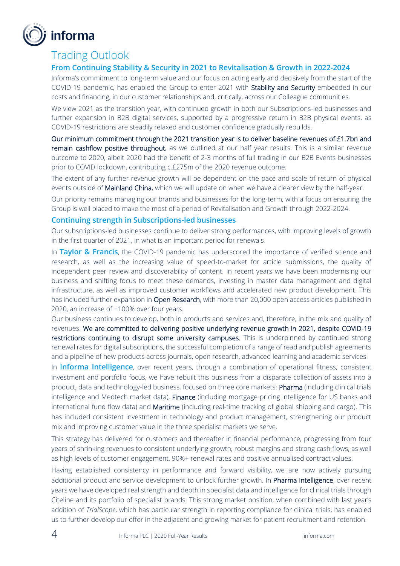

### Trading Outlook

### **From Continuing Stability & Security in 2021 to Revitalisation & Growth in 2022-2024**

Informa's commitment to long-term value and our focus on acting early and decisively from the start of the COVID-19 pandemic, has enabled the Group to enter 2021 with Stability and Security embedded in our costs and financing, in our customer relationships and, critically, across our Colleague communities.

We view 2021 as the transition year, with continued growth in both our Subscriptions-led businesses and further expansion in B2B digital services, supported by a progressive return in B2B physical events, as COVID-19 restrictions are steadily relaxed and customer confidence gradually rebuilds.

Our minimum commitment through the 2021 transition year is to deliver baseline revenues of £1.7bn and remain cashflow positive throughout, as we outlined at our half year results. This is a similar revenue outcome to 2020, albeit 2020 had the benefit of 2-3 months of full trading in our B2B Events businesses prior to COVID lockdown, contributing c.£275m of the 2020 revenue outcome.

The extent of any further revenue growth will be dependent on the pace and scale of return of physical events outside of Mainland China, which we will update on when we have a clearer view by the half-year.

Our priority remains managing our brands and businesses for the long-term, with a focus on ensuring the Group is well placed to make the most of a period of Revitalisation and Growth through 2022-2024.

### **Continuing strength in Subscriptions-led businesses**

Our subscriptions-led businesses continue to deliver strong performances, with improving levels of growth in the first quarter of 2021, in what is an important period for renewals.

In **Taylor & Francis**, the COVID-19 pandemic has underscored the importance of verified science and research, as well as the increasing value of speed-to-market for article submissions, the quality of independent peer review and discoverability of content. In recent years we have been modernising our business and shifting focus to meet these demands, investing in master data management and digital infrastructure, as well as improved customer workflows and accelerated new product development. This has included further expansion in Open Research, with more than 20,000 open access articles published in 2020, an increase of +100% over four years.

Our business continues to develop, both in products and services and, therefore, in the mix and quality of revenues. We are committed to delivering positive underlying revenue growth in 2021, despite COVID-19 restrictions continuing to disrupt some university campuses. This is underpinned by continued strong renewal rates for digital subscriptions, the successful completion of a range of read and publish agreements and a pipeline of new products across journals, open research, advanced learning and academic services.

In **Informa Intelligence**, over recent years, through a combination of operational fitness, consistent investment and portfolio focus, we have rebuilt this business from a disparate collection of assets into a product, data and technology-led business, focused on three core markets: Pharma (including clinical trials intelligence and Medtech market data), Finance (including mortgage pricing intelligence for US banks and international fund flow data) and **Maritime** (including real-time tracking of global shipping and cargo). This has included consistent investment in technology and product management, strengthening our product mix and improving customer value in the three specialist markets we serve.

This strategy has delivered for customers and thereafter in financial performance, progressing from four years of shrinking revenues to consistent underlying growth, robust margins and strong cash flows, as well as high levels of customer engagement, 90%+ renewal rates and positive annualised contract values.

Having established consistency in performance and forward visibility, we are now actively pursuing additional product and service development to unlock further growth. In Pharma Intelligence, over recent years we have developed real strength and depth in specialist data and intelligence for clinical trials through Citeline and its portfolio of specialist brands. This strong market position, when combined with last year's addition of *TrialScope*, which has particular strength in reporting compliance for clinical trials, has enabled us to further develop our offer in the adjacent and growing market for patient recruitment and retention.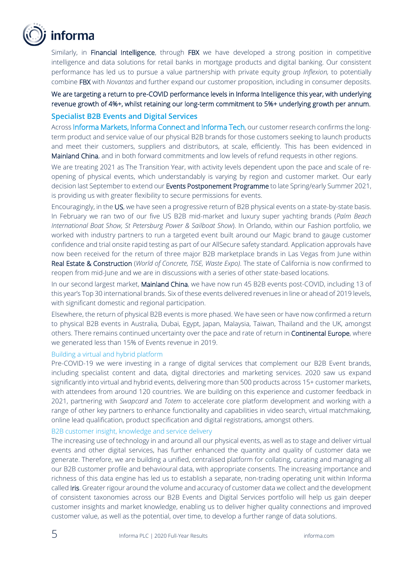

Similarly, in **Financial Intelligence**, through FBX we have developed a strong position in competitive intelligence and data solutions for retail banks in mortgage products and digital banking. Our consistent performance has led us to pursue a value partnership with private equity group *Inflexion,* to potentially combine FBX with *Novantas* and further expand our customer proposition, including in consumer deposits.

We are targeting a return to pre-COVID performance levels in Informa Intelligence this year, with underlying revenue growth of 4%+, whilst retaining our long-term commitment to 5%+ underlying growth per annum.

### **Specialist B2B Events and Digital Services**

Across Informa Markets, Informa Connect and Informa Tech, our customer research confirms the longterm product and service value of our physical B2B brands for those customers seeking to launch products and meet their customers, suppliers and distributors, at scale, efficiently. This has been evidenced in Mainland China, and in both forward commitments and low levels of refund requests in other regions.

We are treating 2021 as The Transition Year, with activity levels dependent upon the pace and scale of reopening of physical events, which understandably is varying by region and customer market. Our early decision last September to extend our Events Postponement Programme to late Spring/early Summer 2021, is providing us with greater flexibility to secure permissions for events.

Encouragingly, in the US, we have seen a progressive return of B2B physical events on a state-by-state basis. In February we ran two of our five US B2B mid-market and luxury super yachting brands (*Palm Beach International Boat Show, St Petersburg Power & Sailboat Show*). In Orlando, within our Fashion portfolio, we worked with industry partners to run a targeted event built around our Magic brand to gauge customer confidence and trial onsite rapid testing as part of our AllSecure safety standard. Application approvals have now been received for the return of three major B2B marketplace brands in Las Vegas from June within Real Estate & Construction (*World of Concrete, TISE, Waste Expo)*. The state of California is now confirmed to reopen from mid-June and we are in discussions with a series of other state-based locations.

In our second largest market, Mainland China, we have now run 45 B2B events post-COVID, including 13 of this year's Top 30 international brands. Six of these events delivered revenues in line or ahead of 2019 levels, with significant domestic and regional participation.

Elsewhere, the return of physical B2B events is more phased. We have seen or have now confirmed a return to physical B2B events in Australia, Dubai, Egypt, Japan, Malaysia, Taiwan, Thailand and the UK, amongst others. There remains continued uncertainty over the pace and rate of return in Continental Europe, where we generated less than 15% of Events revenue in 2019.

#### Building a virtual and hybrid platform

Pre-COVID-19 we were investing in a range of digital services that complement our B2B Event brands, including specialist content and data, digital directories and marketing services. 2020 saw us expand significantly into virtual and hybrid events, delivering more than 500 products across 15+ customer markets, with attendees from around 120 countries. We are building on this experience and customer feedback in 2021, partnering with *Swapcard* and *Totem* to accelerate core platform development and working with a range of other key partners to enhance functionality and capabilities in video search, virtual matchmaking, online lead qualification, product specification and digital registrations, amongst others.

#### B2B customer insight, knowledge and service delivery

The increasing use of technology in and around all our physical events, as well as to stage and deliver virtual events and other digital services, has further enhanced the quantity and quality of customer data we generate. Therefore, we are building a unified, centralised platform for collating, curating and managing all our B2B customer profile and behavioural data, with appropriate consents. The increasing importance and richness of this data engine has led us to establish a separate, non-trading operating unit within Informa called Iris. Greater rigour around the volume and accuracy of customer data we collect and the development of consistent taxonomies across our B2B Events and Digital Services portfolio will help us gain deeper customer insights and market knowledge, enabling us to deliver higher quality connections and improved customer value, as well as the potential, over time, to develop a further range of data solutions.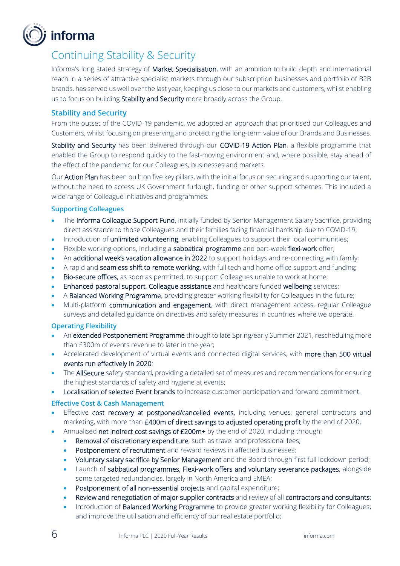

### Continuing Stability & Security

Informa's long stated strategy of Market Specialisation, with an ambition to build depth and international reach in a series of attractive specialist markets through our subscription businesses and portfolio of B2B brands, has served us well over the last year, keeping us close to our markets and customers, whilst enabling us to focus on building Stability and Security more broadly across the Group.

### **Stability and Security**

From the outset of the COVID-19 pandemic, we adopted an approach that prioritised our Colleagues and Customers, whilst focusing on preserving and protecting the long-term value of our Brands and Businesses.

Stability and Security has been delivered through our COVID-19 Action Plan, a flexible programme that enabled the Group to respond quickly to the fast-moving environment and, where possible, stay ahead of the effect of the pandemic for our Colleagues, businesses and markets.

Our Action Plan has been built on five key pillars, with the initial focus on securing and supporting our talent, without the need to access UK Government furlough, funding or other support schemes. This included a wide range of Colleague initiatives and programmes:

### **Supporting Colleagues**

- The Informa Colleague Support Fund, initially funded by Senior Management Salary Sacrifice, providing direct assistance to those Colleagues and their families facing financial hardship due to COVID-19;
- Introduction of unlimited volunteering, enabling Colleagues to support their local communities;
- Flexible working options, including a sabbatical programme and part-week flexi-work offer;
- An additional week's vacation allowance in 2022 to support holidays and re-connecting with family;
- A rapid and **seamless shift to remote working**, with full tech and home office support and funding;
- Bio-secure offices, as soon as permitted, to support Colleagues unable to work at home;
- Enhanced pastoral support, Colleague assistance and healthcare funded wellbeing services;
- A Balanced Working Programme, providing greater working flexibility for Colleagues in the future;
- Multi-platform communication and engagement, with direct management access, regular Colleague surveys and detailed guidance on directives and safety measures in countries where we operate.

#### **Operating Flexibility**

- An extended Postponement Programme through to late Spring/early Summer 2021, rescheduling more than £300m of events revenue to later in the year;
- Accelerated development of virtual events and connected digital services, with more than 500 virtual events run effectively in 2020;
- The AllSecure safety standard, providing a detailed set of measures and recommendations for ensuring the highest standards of safety and hygiene at events;
- Localisation of selected Event brands to increase customer participation and forward commitment.

### **Effective Cost & Cash Management**

- Effective cost recovery at postponed/cancelled events, including venues, general contractors and marketing, with more than £400m of direct savings to adjusted operating profit by the end of 2020;
- Annualised net indirect cost savings of £200m+ by the end of 2020, including through:
	- Removal of discretionary expenditure, such as travel and professional fees;
	- Postponement of recruitment and reward reviews in affected businesses;
	- Voluntary salary sacrifice by Senior Management and the Board through first full lockdown period;
	- Launch of sabbatical programmes, Flexi-work offers and voluntary severance packages, alongside some targeted redundancies, largely in North America and EMEA;
	- Postponement of all non-essential projects and capital expenditure;
	- Review and renegotiation of major supplier contracts and review of all contractors and consultants;
	- Introduction of Balanced Working Programme to provide greater working flexibility for Colleagues; and improve the utilisation and efficiency of our real estate portfolio;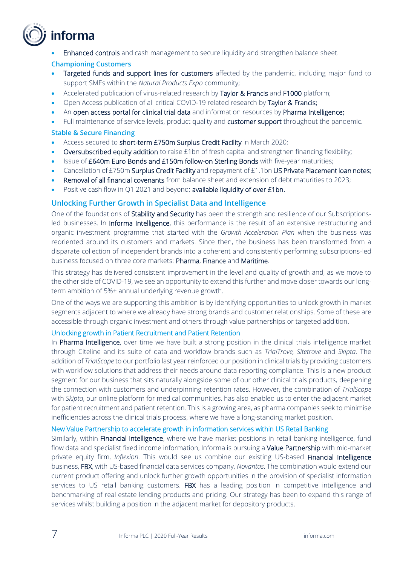## informa

**Enhanced controls** and cash management to secure liquidity and strengthen balance sheet.

### **Championing Customers**

- Targeted funds and support lines for customers affected by the pandemic, including major fund to support SMEs within the *Natural Products Expo* community;
- Accelerated publication of virus-related research by Taylor & Francis and F1000 platform;
- Open Access publication of all critical COVID-19 related research by Taylor & Francis;
- An open access portal for clinical trial data and information resources by Pharma Intelligence;
- Full maintenance of service levels, product quality and **customer support** throughout the pandemic.

### **Stable & Secure Financing**

- Access secured to short-term £750m Surplus Credit Facility in March 2020;
- Oversubscribed equity addition to raise £1bn of fresh capital and strengthen financing flexibility;
- Issue of £640m Euro Bonds and £150m follow-on Sterling Bonds with five-year maturities;
- Cancellation of £750m Surplus Credit Facility and repayment of £1.1bn US Private Placement loan notes;
- Removal of all financial covenants from balance sheet and extension of debt maturities to 2023;
- Positive cash flow in Q1 2021 and beyond; available liquidity of over £1bn.

### **Unlocking Further Growth in Specialist Data and Intelligence**

One of the foundations of Stability and Security has been the strength and resilience of our Subscriptionsled businesses. In Informa Intelligence, this performance is the result of an extensive restructuring and organic investment programme that started with the *Growth Acceleration Plan* when the business was reoriented around its customers and markets. Since then, the business has been transformed from a disparate collection of independent brands into a coherent and consistently performing subscriptions-led business focused on three core markets: Pharma, Finance and Maritime.

This strategy has delivered consistent improvement in the level and quality of growth and, as we move to the other side of COVID-19, we see an opportunity to extend this further and move closer towards our longterm ambition of 5%+ annual underlying revenue growth.

One of the ways we are supporting this ambition is by identifying opportunities to unlock growth in market segments adjacent to where we already have strong brands and customer relationships. Some of these are accessible through organic investment and others through value partnerships or targeted addition.

#### Unlocking growth in Patient Recruitment and Patient Retention

In Pharma Intelligence, over time we have built a strong position in the clinical trials intelligence market through Citeline and its suite of data and workflow brands such as *TrialTrove, Sitetrove* and *Skipta*. The addition of *TrialScope* to our portfolio last year reinforced our position in clinical trials by providing customers with workflow solutions that address their needs around data reporting compliance. This is a new product segment for our business that sits naturally alongside some of our other clinical trials products, deepening the connection with customers and underpinning retention rates. However, the combination of *TrialScope* with *Skipta*, our online platform for medical communities, has also enabled us to enter the adjacent market for patient recruitment and patient retention. This is a growing area, as pharma companies seek to minimise inefficiencies across the clinical trials process, where we have a long-standing market position.

#### New Value Partnership to accelerate growth in information services within US Retail Banking

Similarly, within Financial Intelligence, where we have market positions in retail banking intelligence, fund flow data and specialist fixed income information, Informa is pursuing a Value Partnership with mid-market private equity firm, *Inflexion*. This would see us combine our existing US-based Financial Intelligence business, FBX, with US-based financial data services company, *Novantas*. The combination would extend our current product offering and unlock further growth opportunities in the provision of specialist information services to US retail banking customers. FBX has a leading position in competitive intelligence and benchmarking of real estate lending products and pricing. Our strategy has been to expand this range of services whilst building a position in the adjacent market for depository products.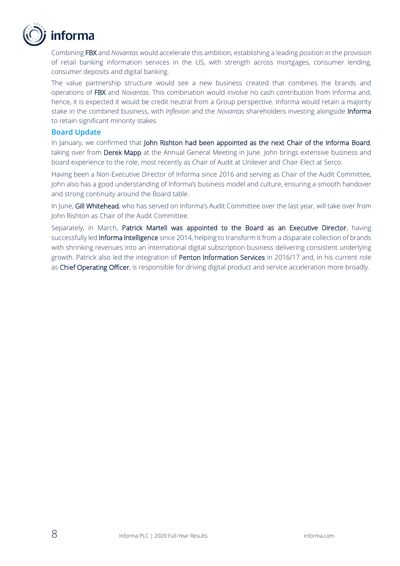

Combining FBX and *Novantas* would accelerate this ambition, establishing a leading position in the provision of retail banking information services in the US, with strength across mortgages, consumer lending, consumer deposits and digital banking.

The value partnership structure would see a new business created that combines the brands and operations of FBX and *Novantas*. This combination would involve no cash contribution from Informa and, hence, it is expected it would be credit neutral from a Group perspective. Informa would retain a majority stake in the combined business, with *Inflexion* and the *Novantas* shareholders investing alongside Informa to retain significant minority stakes.

### **Board Update**

In January, we confirmed that John Rishton had been appointed as the next Chair of the Informa Board, taking over from Derek Mapp at the Annual General Meeting in June. John brings extensive business and board experience to the role, most recently as Chair of Audit at Unilever and Chair-Elect at Serco.

Having been a Non-Executive Director of Informa since 2016 and serving as Chair of the Audit Committee, John also has a good understanding of Informa's business model and culture, ensuring a smooth handover and strong continuity around the Board table.

In June, Gill Whitehead, who has served on Informa's Audit Committee over the last year, will take over from John Rishton as Chair of the Audit Committee.

Separately, in March, Patrick Martell was appointed to the Board as an Executive Director, having successfully led **Informa Intelligence** since 2014, helping to transform it from a disparate collection of brands with shrinking revenues into an international digital subscription business delivering consistent underlying growth. Patrick also led the integration of Penton Information Services in 2016/17 and, in his current role as Chief Operating Officer, is responsible for driving digital product and service acceleration more broadly.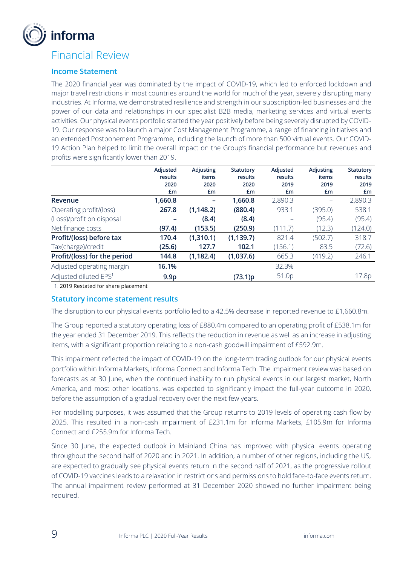

### Financial Review

### **Income Statement**

The 2020 financial year was dominated by the impact of COVID-19, which led to enforced lockdown and major travel restrictions in most countries around the world for much of the year, severely disrupting many industries. At Informa, we demonstrated resilience and strength in our subscription-led businesses and the power of our data and relationships in our specialist B2B media, marketing services and virtual events activities. Our physical events portfolio started the year positively before being severely disrupted by COVID-19. Our response was to launch a major Cost Management Programme, a range of financing initiatives and an extended Postponement Programme, including the launch of more than 500 virtual events. Our COVID-19 Action Plan helped to limit the overall impact on the Group's financial performance but revenues and profits were significantly lower than 2019.

|                                   | Adjusted<br>results<br>2020 | <b>Adjusting</b><br>items<br>2020 | Statutory<br>results<br>2020 | Adjusted<br>results<br>2019 | Adjusting<br>items<br>2019 | <b>Statutory</b><br>results<br>2019 |
|-----------------------------------|-----------------------------|-----------------------------------|------------------------------|-----------------------------|----------------------------|-------------------------------------|
|                                   | £m                          | £m                                | £m                           | £m                          | £m                         | £m                                  |
| Revenue                           | 1,660.8                     |                                   | 1,660.8                      | 2,890.3                     |                            | 2,890.3                             |
| Operating profit/(loss)           | 267.8                       | (1, 148.2)                        | (880.4)                      | 933.1                       | (395.0)                    | 538.1                               |
| (Loss)/profit on disposal         |                             | (8.4)                             | (8.4)                        |                             | (95.4)                     | (95.4)                              |
| Net finance costs                 | (97.4)                      | (153.5)                           | (250.9)                      | (111.7)                     | (12.3)                     | (124.0)                             |
| Profit/(loss) before tax          | 170.4                       | (1,310.1)                         | (1, 139.7)                   | 821.4                       | (502.7)                    | 318.7                               |
| Tax(charge)/credit                | (25.6)                      | 127.7                             | 102.1                        | (156.1)                     | 83.5                       | (72.6)                              |
| Profit/(loss) for the period      | 144.8                       | (1, 182.4)                        | (1,037.6)                    | 665.3                       | (419.2)                    | 246.1                               |
| Adjusted operating margin         | 16.1%                       |                                   |                              | 32.3%                       |                            |                                     |
| Adjusted diluted EPS <sup>1</sup> | 9.9 <sub>p</sub>            |                                   | (73.1)p                      | 51.0p                       |                            | 17.8p                               |

1. 2019 Restated for share placement

### **Statutory income statement results**

The disruption to our physical events portfolio led to a 42.5% decrease in reported revenue to £1,660.8m.

The Group reported a statutory operating loss of £880.4m compared to an operating profit of £538.1m for the year ended 31 December 2019. This reflects the reduction in revenue as well as an increase in adjusting items, with a significant proportion relating to a non-cash goodwill impairment of £592.9m.

This impairment reflected the impact of COVID-19 on the long-term trading outlook for our physical events portfolio within Informa Markets, Informa Connect and Informa Tech. The impairment review was based on forecasts as at 30 June, when the continued inability to run physical events in our largest market, North America, and most other locations, was expected to significantly impact the full-year outcome in 2020, before the assumption of a gradual recovery over the next few years.

For modelling purposes, it was assumed that the Group returns to 2019 levels of operating cash flow by 2025. This resulted in a non-cash impairment of £231.1m for Informa Markets, £105.9m for Informa Connect and £255.9m for Informa Tech.

Since 30 June, the expected outlook in Mainland China has improved with physical events operating throughout the second half of 2020 and in 2021. In addition, a number of other regions, including the US, are expected to gradually see physical events return in the second half of 2021, as the progressive rollout of COVID-19 vaccines leads to a relaxation in restrictions and permissions to hold face-to-face events return. The annual impairment review performed at 31 December 2020 showed no further impairment being required.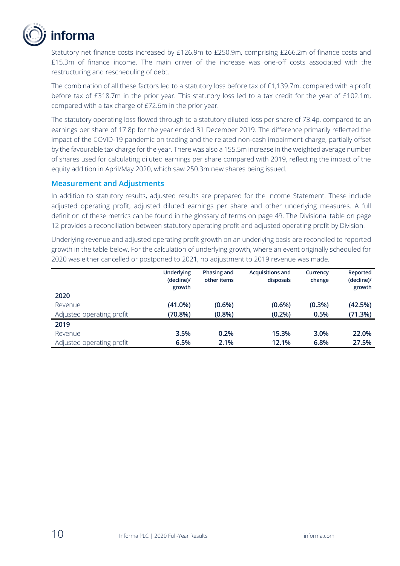

Statutory net finance costs increased by £126.9m to £250.9m, comprising £266.2m of finance costs and £15.3m of finance income. The main driver of the increase was one-off costs associated with the restructuring and rescheduling of debt.

The combination of all these factors led to a statutory loss before tax of £1,139.7m, compared with a profit before tax of £318.7m in the prior year. This statutory loss led to a tax credit for the year of £102.1m, compared with a tax charge of £72.6m in the prior year.

The statutory operating loss flowed through to a statutory diluted loss per share of 73.4p, compared to an earnings per share of 17.8p for the year ended 31 December 2019. The difference primarily reflected the impact of the COVID-19 pandemic on trading and the related non-cash impairment charge, partially offset by the favourable tax charge for the year. There was also a 155.5m increase in the weighted average number of shares used for calculating diluted earnings per share compared with 2019, reflecting the impact of the equity addition in April/May 2020, which saw 250.3m new shares being issued.

### **Measurement and Adjustments**

In addition to statutory results, adjusted results are prepared for the Income Statement. These include adjusted operating profit, adjusted diluted earnings per share and other underlying measures. A full definition of these metrics can be found in the glossary of terms on page 49. The Divisional table on page 12 provides a reconciliation between statutory operating profit and adjusted operating profit by Division.

Underlying revenue and adjusted operating profit growth on an underlying basis are reconciled to reported growth in the table below. For the calculation of underlying growth, where an event originally scheduled for 2020 was either cancelled or postponed to 2021, no adjustment to 2019 revenue was made.

|                           | <b>Underlying</b><br>(decline)/<br>growth | Phasing and<br>other items | <b>Acquisitions and</b><br>disposals | Currency<br>change | Reported<br>(decline)/<br>growth |
|---------------------------|-------------------------------------------|----------------------------|--------------------------------------|--------------------|----------------------------------|
| 2020                      |                                           |                            |                                      |                    |                                  |
| Revenue                   | $(41.0\%)$                                | $(0.6\%)$                  | (0.6% )                              | (0.3%)             | (42.5%)                          |
| Adjusted operating profit | (70.8%)                                   | $(0.8\%)$                  | (0.2%)                               | 0.5%               | (71.3%)                          |
| 2019                      |                                           |                            |                                      |                    |                                  |
| Revenue                   | 3.5%                                      | 0.2%                       | 15.3%                                | 3.0%               | 22.0%                            |
| Adjusted operating profit | 6.5%                                      | 2.1%                       | 12.1%                                | 6.8%               | 27.5%                            |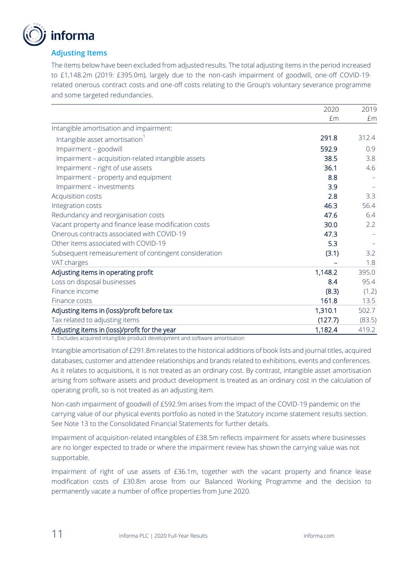

### **Adjusting Items**

The items below have been excluded from adjusted results. The total adjusting items in the period increased to £1,148.2m (2019: £395.0m), largely due to the non-cash impairment of goodwill, one-off COVID-19 related onerous contract costs and one-off costs relating to the Group's voluntary severance programme and some targeted redundancies.

|                                                      | 2020    | 2019   |
|------------------------------------------------------|---------|--------|
|                                                      | £m      | £m     |
| Intangible amortisation and impairment:              |         |        |
| Intangible asset amortisation                        | 291.8   | 312.4  |
| Impairment - goodwill                                | 592.9   | 0.9    |
| Impairment - acquisition-related intangible assets   | 38.5    | 3.8    |
| Impairment - right of use assets                     | 36.1    | 4.6    |
| Impairment - property and equipment                  | 8.8     |        |
| Impairment - investments                             | 3.9     |        |
| Acquisition costs                                    | 2.8     | 3.3    |
| Integration costs                                    | 46.3    | 56.4   |
| Redundancy and reorganisation costs                  | 47.6    | 6.4    |
| Vacant property and finance lease modification costs | 30.0    | 2.2    |
| Onerous contracts associated with COVID-19           | 47.3    |        |
| Other items associated with COVID-19                 | 5.3     |        |
| Subsequent remeasurement of contingent consideration | (3.1)   | 3.2    |
| VAT charges                                          |         | 1.8    |
| Adjusting items in operating profit                  | 1,148.2 | 395.0  |
| Loss on disposal businesses                          | 8.4     | 95.4   |
| Finance income                                       | (8.3)   | (1.2)  |
| Finance costs                                        | 161.8   | 13.5   |
| Adjusting items in (loss)/profit before tax          | 1,310.1 | 502.7  |
| Tax related to adjusting items                       | (127.7) | (83.5) |
| Adjusting items in (loss)/profit for the year        | 1,182.4 | 419.2  |

1. Excludes acquired intangible product development and software amortisation

Intangible amortisation of £291.8m relates to the historical additions of book lists and journal titles, acquired databases, customer and attendee relationships and brands related to exhibitions, events and conferences. As it relates to acquisitions, it is not treated as an ordinary cost. By contrast, intangible asset amortisation arising from software assets and product development is treated as an ordinary cost in the calculation of operating profit, so is not treated as an adjusting item.

Non-cash impairment of goodwill of £592.9m arises from the impact of the COVID-19 pandemic on the carrying value of our physical events portfolio as noted in the Statutory income statement results section. See Note 13 to the Consolidated Financial Statements for further details.

Impairment of acquisition-related intangibles of £38.5m reflects impairment for assets where businesses are no longer expected to trade or where the impairment review has shown the carrying value was not supportable.

Impairment of right of use assets of £36.1m, together with the vacant property and finance lease modification costs of £30.8m arose from our Balanced Working Programme and the decision to permanently vacate a number of office properties from June 2020.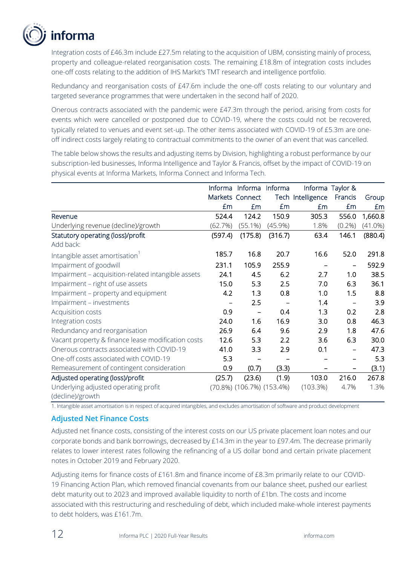

Integration costs of £46.3m include £27.5m relating to the acquisition of UBM, consisting mainly of process, property and colleague-related reorganisation costs. The remaining £18.8m of integration costs includes one-off costs relating to the addition of IHS Markit's TMT research and intelligence portfolio.

Redundancy and reorganisation costs of £47.6m include the one-off costs relating to our voluntary and targeted severance programmes that were undertaken in the second half of 2020.

Onerous contracts associated with the pandemic were £47.3m through the period, arising from costs for events which were cancelled or postponed due to COVID-19, where the costs could not be recovered, typically related to venues and event set-up. The other items associated with COVID-19 of £5.3m are oneoff indirect costs largely relating to contractual commitments to the owner of an event that was cancelled.

The table below shows the results and adjusting items by Division, highlighting a robust performance by our subscription-led businesses, Informa Intelligence and Taylor & Francis, offset by the impact of COVID-19 on physical events at Informa Markets, Informa Connect and Informa Tech.

|                                                    | Informa | Informa                            | Informa    |                   | Informa Taylor & |            |
|----------------------------------------------------|---------|------------------------------------|------------|-------------------|------------------|------------|
|                                                    |         | Markets Connect                    |            | Tech Intelligence | Francis          | Group      |
|                                                    | £m      | £m                                 | £m         | £m                | £m               | £m         |
| Revenue                                            | 524.4   | 124.2                              | 150.9      | 305.3             | 556.0            | 1,660.8    |
| Underlying revenue (decline)/growth                | (62.7%) | $(55.1\%)$                         | $(45.9\%)$ | 1.8%              | $(0.2\%)$        | $(41.0\%)$ |
| Statutory operating (loss)/profit                  | (597.4) | (175.8)                            | (316.7)    | 63.4              | 146.1            | (880.4)    |
| Add back:                                          |         |                                    |            |                   |                  |            |
| Intangible asset amortisation                      | 185.7   | 16.8                               | 20.7       | 16.6              | 52.0             | 291.8      |
| Impairment of goodwill                             | 231.1   | 105.9                              | 255.9      | -                 | -                | 592.9      |
| Impairment - acquisition-related intangible assets | 24.1    | 4.5                                | 6.2        | 2.7               | 1.0              | 38.5       |
| Impairment - right of use assets                   | 15.0    | 5.3                                | 2.5        | 7.0               | 6.3              | 36.1       |
| Impairment – property and equipment                | 4.2     | 1.3                                | 0.8        | 1.0               | 1.5              | 8.8        |
| Impairment - investments                           |         | 2.5                                |            | 1.4               |                  | 3.9        |
| Acquisition costs                                  | 0.9     | $\qquad \qquad$                    | 0.4        | 1.3               | 0.2              | 2.8        |
| Integration costs                                  | 24.0    | 1.6                                | 16.9       | 3.0               | 0.8              | 46.3       |
| Redundancy and reorganisation                      | 26.9    | 6.4                                | 9.6        | 2.9               | 1.8              | 47.6       |
| Vacant property & finance lease modification costs | 12.6    | 5.3                                | 2.2        | 3.6               | 6.3              | 30.0       |
| Onerous contracts associated with COVID-19         | 41.0    | 3.3                                | 2.9        | 0.1               |                  | 47.3       |
| One-off costs associated with COVID-19             | 5.3     |                                    |            |                   |                  | 5.3        |
| Remeasurement of contingent consideration          | 0.9     | (0.7)                              | (3.3)      |                   |                  | (3.1)      |
| Adjusted operating (loss)/profit                   | (25.7)  | (23.6)                             | (1.9)      | 103.0             | 216.0            | 267.8      |
| Underlying adjusted operating profit               |         | $(70.8\%)$ $(106.7\%)$ $(153.4\%)$ |            | (103.3%)          | 4.7%             | 1.3%       |
| (decline)/growth                                   |         |                                    |            |                   |                  |            |

1. Intangible asset amortisation is in respect of acquired intangibles, and excludes amortisation of software and product development

### **Adjusted Net Finance Costs**

Adjusted net finance costs, consisting of the interest costs on our US private placement loan notes and our corporate bonds and bank borrowings, decreased by £14.3m in the year to £97.4m. The decrease primarily relates to lower interest rates following the refinancing of a US dollar bond and certain private placement notes in October 2019 and February 2020.

Adjusting items for finance costs of £161.8m and finance income of £8.3m primarily relate to our COVID-19 Financing Action Plan, which removed financial covenants from our balance sheet, pushed our earliest debt maturity out to 2023 and improved available liquidity to north of £1bn. The costs and income associated with this restructuring and rescheduling of debt, which included make-whole interest payments to debt holders, was £161.7m.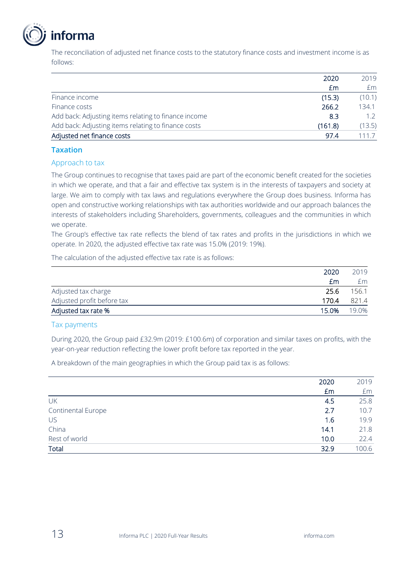

The reconciliation of adjusted net finance costs to the statutory finance costs and investment income is as follows:

|                                                      | 2020    | 2019   |
|------------------------------------------------------|---------|--------|
|                                                      | £m      | £m     |
| Finance income                                       | (15.3)  | (10.1) |
| Finance costs                                        | 266.2   | 134.1  |
| Add back: Adjusting items relating to finance income | 8.3     | 12     |
| Add back: Adjusting items relating to finance costs  | (161.8) | (13.5) |
| Adjusted net finance costs                           | 97.4    | 111 7  |

### **Taxation**

### Approach to tax

The Group continues to recognise that taxes paid are part of the economic benefit created for the societies in which we operate, and that a fair and effective tax system is in the interests of taxpayers and society at large. We aim to comply with tax laws and regulations everywhere the Group does business. Informa has open and constructive working relationships with tax authorities worldwide and our approach balances the interests of stakeholders including Shareholders, governments, colleagues and the communities in which we operate.

The Group's effective tax rate reflects the blend of tax rates and profits in the jurisdictions in which we operate. In 2020, the adjusted effective tax rate was 15.0% (2019: 19%).

The calculation of the adjusted effective tax rate is as follows:

|                            | 2020  | 2019  |
|----------------------------|-------|-------|
|                            | £m    | £m    |
| Adjusted tax charge        | 25.6  | 156.1 |
| Adjusted profit before tax | 170.4 | 821.4 |
| Adjusted tax rate %        | 15.0% | 19.0% |

#### Tax payments

During 2020, the Group paid £32.9m (2019: £100.6m) of corporation and similar taxes on profits, with the year-on-year reduction reflecting the lower profit before tax reported in the year.

A breakdown of the main geographies in which the Group paid tax is as follows:

|                    | 2020 | 2019  |
|--------------------|------|-------|
|                    | £m   | £m    |
| UK                 | 4.5  | 25.8  |
| Continental Europe | 2.7  | 10.7  |
| US                 | 1.6  | 19.9  |
| China              | 14.1 | 21.8  |
| Rest of world      | 10.0 | 22.4  |
| Total              | 32.9 | 100.6 |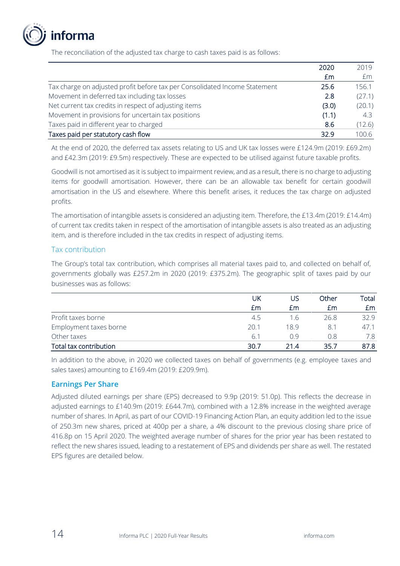

The reconciliation of the adjusted tax charge to cash taxes paid is as follows:

|                                                                            | 2020  | 2019   |
|----------------------------------------------------------------------------|-------|--------|
|                                                                            | Em    | £m     |
| Tax charge on adjusted profit before tax per Consolidated Income Statement | 25.6  | 156.1  |
| Movement in deferred tax including tax losses                              | 2.8   | (27.1) |
| Net current tax credits in respect of adjusting items                      | (3.0) | (20.1) |
| Movement in provisions for uncertain tax positions                         | (1.1) | 4.3    |
| Taxes paid in different year to charged                                    | 8.6   | (12.6) |
| Taxes paid per statutory cash flow                                         | 32.9  | 100.6  |

At the end of 2020, the deferred tax assets relating to US and UK tax losses were £124.9m (2019: £69.2m) and £42.3m (2019: £9.5m) respectively. These are expected to be utilised against future taxable profits.

Goodwill is not amortised as it is subject to impairment review, and as a result, there is no charge to adjusting items for goodwill amortisation. However, there can be an allowable tax benefit for certain goodwill amortisation in the US and elsewhere. Where this benefit arises, it reduces the tax charge on adjusted profits.

The amortisation of intangible assets is considered an adjusting item. Therefore, the £13.4m (2019: £14.4m) of current tax credits taken in respect of the amortisation of intangible assets is also treated as an adjusting item, and is therefore included in the tax credits in respect of adjusting items.

### Tax contribution

The Group's total tax contribution, which comprises all material taxes paid to, and collected on behalf of, governments globally was £257.2m in 2020 (2019: £375.2m). The geographic split of taxes paid by our businesses was as follows:

|                        | UK   | US   | Other | Total |
|------------------------|------|------|-------|-------|
|                        | £m   | £m   | £m    | Em    |
| Profit taxes borne     | 4.5  | 1.6  | 26.8  | 32.9  |
| Employment taxes borne | 20.1 | 18.9 | 8.1   | 47.1  |
| Other taxes            | 6.1  | በ 9  | 0.8   |       |
| Total tax contribution | 30.7 | 21.4 | 35.7  | 87.8  |

In addition to the above, in 2020 we collected taxes on behalf of governments (e.g. employee taxes and sales taxes) amounting to £169.4m (2019: £209.9m).

### **Earnings Per Share**

Adjusted diluted earnings per share (EPS) decreased to 9.9p (2019: 51.0p). This reflects the decrease in adjusted earnings to £140.9m (2019: £644.7m), combined with a 12.8% increase in the weighted average number of shares. In April, as part of our COVID-19 Financing Action Plan, an equity addition led to the issue of 250.3m new shares, priced at 400p per a share, a 4% discount to the previous closing share price of 416.8p on 15 April 2020. The weighted average number of shares for the prior year has been restated to reflect the new shares issued, leading to a restatement of EPS and dividends per share as well. The restated EPS figures are detailed below.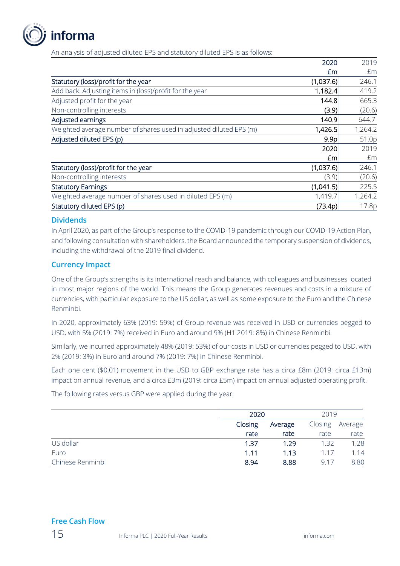

An analysis of adjusted diluted EPS and statutory diluted EPS is as follows:

|                                                                    | 2020             | 2019    |
|--------------------------------------------------------------------|------------------|---------|
|                                                                    | £m               | £m      |
| Statutory (loss)/profit for the year                               | (1,037.6)        | 246.1   |
| Add back: Adjusting items in (loss)/profit for the year            | 1.182.4          | 419.2   |
| Adjusted profit for the year                                       | 144.8            | 665.3   |
| Non-controlling interests                                          | (3.9)            | (20.6)  |
| Adjusted earnings                                                  | 140.9            | 644.7   |
| Weighted average number of shares used in adjusted diluted EPS (m) | 1,426.5          | 1,264.2 |
| Adjusted diluted EPS (p)                                           | 9.9 <sub>p</sub> | 51.0p   |
|                                                                    | 2020             | 2019    |
|                                                                    | £m               | £m      |
| Statutory (loss)/profit for the year                               | (1,037.6)        | 246.1   |
| Non-controlling interests                                          | (3.9)            | (20.6)  |
| <b>Statutory Earnings</b>                                          | (1,041.5)        | 225.5   |
| Weighted average number of shares used in diluted EPS (m)          | 1,419.7          | 1,264.2 |
| Statutory diluted EPS (p)                                          | (73.4p)          | 17.8p   |

### **Dividends**

In April 2020, as part of the Group's response to the COVID-19 pandemic through our COVID-19 Action Plan, and following consultation with shareholders, the Board announced the temporary suspension of dividends, including the withdrawal of the 2019 final dividend.

### **Currency Impact**

One of the Group's strengths is its international reach and balance, with colleagues and businesses located in most major regions of the world. This means the Group generates revenues and costs in a mixture of currencies, with particular exposure to the US dollar, as well as some exposure to the Euro and the Chinese Renminbi.

In 2020, approximately 63% (2019: 59%) of Group revenue was received in USD or currencies pegged to USD, with 5% (2019: 7%) received in Euro and around 9% (H1 2019: 8%) in Chinese Renminbi.

Similarly, we incurred approximately 48% (2019: 53%) of our costs in USD or currencies pegged to USD, with 2% (2019: 3%) in Euro and around 7% (2019: 7%) in Chinese Renminbi.

Each one cent (\$0.01) movement in the USD to GBP exchange rate has a circa £8m (2019: circa £13m) impact on annual revenue, and a circa £3m (2019: circa £5m) impact on annual adjusted operating profit.

The following rates versus GBP were applied during the year:

|                  | 2020               |      | 2019    |         |  |
|------------------|--------------------|------|---------|---------|--|
|                  | Closing<br>Average |      | Closing | Average |  |
|                  | rate               | rate | rate    | rate    |  |
| US dollar        | 1.37               | 1.29 | 1.32    | 1.28    |  |
| Euro             | 1.11               | 1.13 | 1.17    | 1.14    |  |
| Chinese Renminbi | 8.94               | 8.88 | 9.17    | 8.80    |  |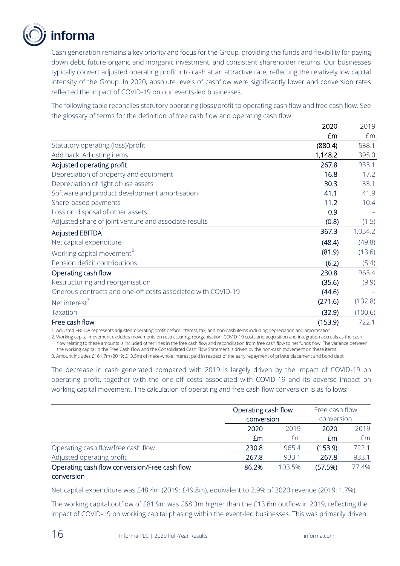

Cash generation remains a key priority and focus for the Group, providing the funds and flexibility for paying down debt, future organic and inorganic investment, and consistent shareholder returns. Our businesses typically convert adjusted operating profit into cash at an attractive rate, reflecting the relatively low capital intensity of the Group. In 2020, absolute levels of cashflow were significantly lower and conversion rates reflected the impact of COVID-19 on our events-led businesses.

The following table reconciles statutory operating (loss)/profit to operating cash flow and free cash flow. See the glossary of terms for the definition of free cash flow and operating cash flow.

|                                                              | 2020    | 2019    |
|--------------------------------------------------------------|---------|---------|
|                                                              | £m      | £m      |
| Statutory operating (loss)/profit                            | (880.4) | 538.1   |
| Add back: Adjusting items                                    | 1,148.2 | 395.0   |
| Adjusted operating profit                                    | 267.8   | 933.1   |
| Depreciation of property and equipment                       | 16.8    | 17.2    |
| Depreciation of right of use assets                          | 30.3    | 33.1    |
| Software and product development amortisation                | 41.1    | 41.9    |
| Share-based payments                                         | 11.2    | 10.4    |
| Loss on disposal of other assets                             | 0.9     |         |
| Adjusted share of joint venture and associate results        | (0.8)   | (1.5)   |
| Adjusted EBITDA <sup>1</sup>                                 | 367.3   | 1,034.2 |
| Net capital expenditure                                      | (48.4)  | (49.8)  |
| Working capital movement <sup>2</sup>                        | (81.9)  | (13.6)  |
| Pension deficit contributions                                | (6.2)   | (5.4)   |
| Operating cash flow                                          | 230.8   | 965.4   |
| Restructuring and reorganisation                             | (35.6)  | (9.9)   |
| Onerous contracts and one-off costs associated with COVID-19 | (44.6)  |         |
| Net interest <sup>3</sup>                                    | (271.6) | (132.8) |
| Taxation                                                     | (32.9)  | (100.6) |
| Free cash flow                                               | (153.9) | 722.1   |

1. Adjusted EBITDA represents adjusted operating profit before interest, tax, and non-cash items including depreciation and amortisation

2. Working capital movement excludes movements on restructuring, reorganisation, COVID-19 costs and acquisition and integration accruals as the cash flow relating to these amounts is included other lines in the free cash flow and reconciliation from free cash flow to net funds flow. The variance between the working capital in the Free Cash Flow and the Consolidated Cash Flow Statement is driven by the non-cash movement on these items.

3. Amount includes £161.7m (2019: £13.5m) of make-whole interest paid in respect of the early repayment of private placement and bond debt

The decrease in cash generated compared with 2019 is largely driven by the impact of COVID-19 on operating profit, together with the one-off costs associated with COVID-19 and its adverse impact on working capital movement. The calculation of operating and free cash flow conversion is as follows:

|                                               |       | Operating cash flow<br>conversion |         | Free cash flow<br>conversion |  |
|-----------------------------------------------|-------|-----------------------------------|---------|------------------------------|--|
|                                               |       |                                   |         |                              |  |
|                                               | 2020  | 2019                              | 2020    | 2019                         |  |
|                                               | £m    | £m                                | £m      | £m                           |  |
| Operating cash flow/free cash flow            | 230.8 | 965.4                             | (153.9) | 722.1                        |  |
| Adjusted operating profit                     | 267.8 | 933.1                             | 267.8   | 933.1                        |  |
| Operating cash flow conversion/Free cash flow | 86.2% | 103.5%                            | (57.5%) | 77.4%                        |  |
| conversion                                    |       |                                   |         |                              |  |

Net capital expenditure was £48.4m (2019: £49.8m), equivalent to 2.9% of 2020 revenue (2019: 1.7%).

The working capital outflow of £81.9m was £68.3m higher than the £13.6m outflow in 2019, reflecting the impact of COVID-19 on working capital phasing within the event-led businesses. This was primarily driven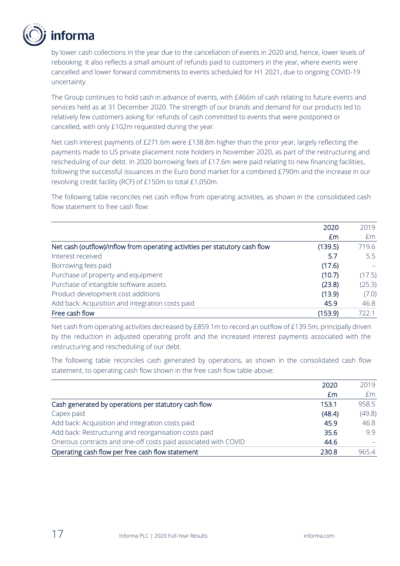

by lower cash collections in the year due to the cancellation of events in 2020 and, hence, lower levels of rebooking. It also reflects a small amount of refunds paid to customers in the year, where events were cancelled and lower forward commitments to events scheduled for H1 2021, due to ongoing COVID-19 uncertainty.

The Group continues to hold cash in advance of events, with £466m of cash relating to future events and services held as at 31 December 2020. The strength of our brands and demand for our products led to relatively few customers asking for refunds of cash committed to events that were postponed or cancelled, with only £102m requested during the year.

Net cash interest payments of £271.6m were £138.8m higher than the prior year, largely reflecting the payments made to US private placement note holders in November 2020, as part of the restructuring and rescheduling of our debt. In 2020 borrowing fees of £17.6m were paid relating to new financing facilities, following the successful issuances in the Euro bond market for a combined £790m and the increase in our revolving credit facility (RCF) of £150m to total £1,050m.

The following table reconciles net cash inflow from operating activities, as shown in the consolidated cash flow statement to free cash flow:

|                                                                             | 2020    | 2019   |
|-----------------------------------------------------------------------------|---------|--------|
|                                                                             | Em      | Em     |
| Net cash (outflow)/inflow from operating activities per statutory cash flow | (139.5) | 719.6  |
| Interest received                                                           | 5.7     | 5.5    |
| Borrowing fees paid                                                         | (17.6)  |        |
| Purchase of property and equipment                                          | (10.7)  | (17.5) |
| Purchase of intangible software assets                                      | (23.8)  | (25.3) |
| Product development cost additions                                          | (13.9)  | (7.0)  |
| Add back: Acquisition and integration costs paid                            | 45.9    | 46.8   |
| Free cash flow                                                              | (153.9) | 722.1  |

Net cash from operating activities decreased by £859.1m to record an outflow of £139.5m, principally driven by the reduction in adjusted operating profit and the increased interest payments associated with the restructuring and rescheduling of our debt.

The following table reconciles cash generated by operations, as shown in the consolidated cash flow statement, to operating cash flow shown in the free cash flow table above:

|                                                                | 2020   | 2019   |
|----------------------------------------------------------------|--------|--------|
|                                                                | £m     | Em     |
| Cash generated by operations per statutory cash flow           | 153.1  | 958.5  |
| Capex paid                                                     | (48.4) | (49.8) |
| Add back: Acquisition and integration costs paid               | 45.9   | 46.8   |
| Add back: Restructuring and reorganisation costs paid          | 35.6   | 99     |
| Onerous contracts and one-off costs paid associated with COVID | 44.6   |        |
| Operating cash flow per free cash flow statement               | 230.8  | 965.4  |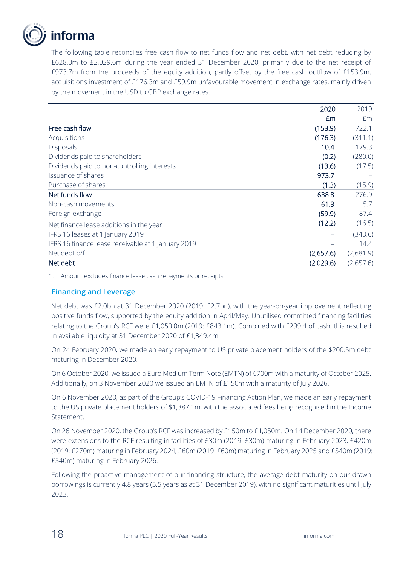

The following table reconciles free cash flow to net funds flow and net debt, with net debt reducing by £628.0m to £2,029.6m during the year ended 31 December 2020, primarily due to the net receipt of £973.7m from the proceeds of the equity addition, partly offset by the free cash outflow of £153.9m, acquisitions investment of £176.3m and £59.9m unfavourable movement in exchange rates, mainly driven by the movement in the USD to GBP exchange rates.

|                                                      | 2020      | 2019      |
|------------------------------------------------------|-----------|-----------|
|                                                      | £m        | £m        |
| Free cash flow                                       | (153.9)   | 722.1     |
| Acquisitions                                         | (176.3)   | (311.1)   |
| <b>Disposals</b>                                     | 10.4      | 179.3     |
| Dividends paid to shareholders                       | (0.2)     | (280.0)   |
| Dividends paid to non-controlling interests          | (13.6)    | (17.5)    |
| Issuance of shares                                   | 973.7     |           |
| Purchase of shares                                   | (1.3)     | (15.9)    |
| Net funds flow                                       | 638.8     | 276.9     |
| Non-cash movements                                   | 61.3      | 5.7       |
| Foreign exchange                                     | (59.9)    | 87.4      |
| Net finance lease additions in the year <sup>1</sup> | (12.2)    | (16.5)    |
| IFRS 16 leases at 1 January 2019                     |           | (343.6)   |
| IFRS 16 finance lease receivable at 1 January 2019   |           | 14.4      |
| Net debt b/f                                         | (2,657.6) | (2,681.9) |
| Net debt                                             | (2,029.6) | (2,657.6) |

1. Amount excludes finance lease cash repayments or receipts

### **Financing and Leverage**

Net debt was £2.0bn at 31 December 2020 (2019: £2.7bn), with the year-on-year improvement reflecting positive funds flow, supported by the equity addition in April/May. Unutilised committed financing facilities relating to the Group's RCF were £1,050.0m (2019: £843.1m). Combined with £299.4 of cash, this resulted in available liquidity at 31 December 2020 of £1,349.4m.

On 24 February 2020, we made an early repayment to US private placement holders of the \$200.5m debt maturing in December 2020.

On 6 October 2020, we issued a Euro Medium Term Note (EMTN) of €700m with a maturity of October 2025. Additionally, on 3 November 2020 we issued an EMTN of £150m with a maturity of July 2026.

On 6 November 2020, as part of the Group's COVID-19 Financing Action Plan, we made an early repayment to the US private placement holders of \$1,387.1m, with the associated fees being recognised in the Income Statement.

On 26 November 2020, the Group's RCF was increased by £150m to £1,050m. On 14 December 2020, there were extensions to the RCF resulting in facilities of £30m (2019: £30m) maturing in February 2023, £420m (2019: £270m) maturing in February 2024, £60m (2019: £60m) maturing in February 2025 and £540m (2019: £540m) maturing in February 2026.

Following the proactive management of our financing structure, the average debt maturity on our drawn borrowings is currently 4.8 years (5.5 years as at 31 December 2019), with no significant maturities until July 2023.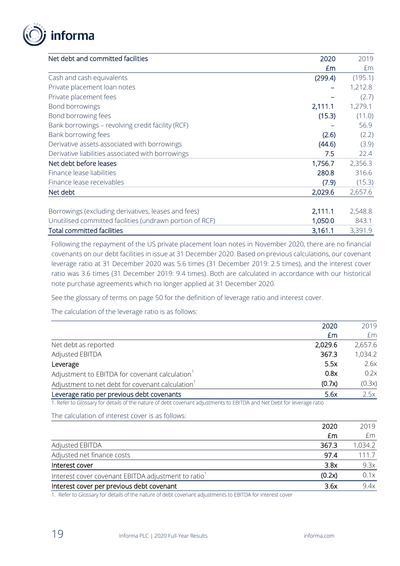

| Net debt and committed facilities                        | 2020    | 2019                 |
|----------------------------------------------------------|---------|----------------------|
|                                                          | £m      | £m                   |
| Cash and cash equivalents                                | (299.4) | (195.1)              |
| Private placement loan notes                             |         | 1,212.8              |
| Private placement fees                                   |         | (2.7)                |
| Bond borrowings                                          | 2,111.1 | 1,279.1              |
| Bond borrowing fees                                      | (15.3)  | (11.0)               |
| Bank borrowings - revolving credit facility (RCF)        |         | 56.9                 |
| Bank borrowing fees                                      | (2.6)   | (2.2)                |
| Derivative assets associated with borrowings             | (44.6)  | (3.9)                |
| Derivative liabilities associated with borrowings        | 7.5     | 22.4                 |
| Net debt before leases                                   | 1,756.7 | 2,356.3              |
| Finance lease liabilities                                | 280.8   | 316.6                |
| Finance lease receivables                                | (7.9)   | (15.3)               |
| Net debt                                                 | 2,029.6 | 2,657.6              |
|                                                          |         |                      |
| Borrowings (excluding derivatives, leases and fees)      | 2,111.1 | 2,548.8              |
| Unutilised committed facilities (undrawn portion of RCF) | 1,050.0 | 843.1                |
|                                                          |         | $\cap$ $\cap$ $\cap$ |

Total committed facilities 3,391.9

Following the repayment of the US private placement loan notes in November 2020, there are no financial covenants on our debt facilities in issue at 31 December 2020. Based on previous calculations, our covenant leverage ratio at 31 December 2020 was 5.6 times (31 December 2019: 2.5 times), and the interest cover ratio was 3.6 times (31 December 2019: 9.4 times). Both are calculated in accordance with our historical note purchase agreements which no longer applied at 31 December 2020.

See the glossary of terms on page 50 for the definition of leverage ratio and interest cover.

The calculation of the leverage ratio is as follows:

|                                                              | 2020    | 2019    |
|--------------------------------------------------------------|---------|---------|
|                                                              | £m      | £m      |
| Net debt as reported                                         | 2,029.6 | 2,657.6 |
| Adjusted EBITDA                                              | 367.3   | 1,034.2 |
| Leverage                                                     | 5.5x    | 2.6x    |
| Adjustment to EBITDA for covenant calculation                | 0.8x    | 0.2x    |
| Adjustment to net debt for covenant calculation <sup>1</sup> | (0.7x)  | (0.3x)  |
| Leverage ratio per previous debt covenants                   | 5.6x    | 2.5x    |

1. Refer to Glossary for details of the nature of debt covenant adjustments to EBITDA and Net Debt for leverage ratio

The calculation of interest cover is as follows:

|                                                    | 2020   | 2019    |
|----------------------------------------------------|--------|---------|
|                                                    | £m     | £m      |
| Adjusted EBITDA                                    | 367.3  | 1,034.2 |
| Adjusted net finance costs                         | 97.4   | 111.7   |
| Interest cover                                     | 3.8x   | 9.3x    |
| Interest cover covenant EBITDA adjustment to ratio | (0.2x) | 0.1x    |
| Interest cover per previous debt covenant          | 3.6x   | 9.4x    |

1. Refer to Glossary for details of the nature of debt covenant adjustments to EBITDA for interest cover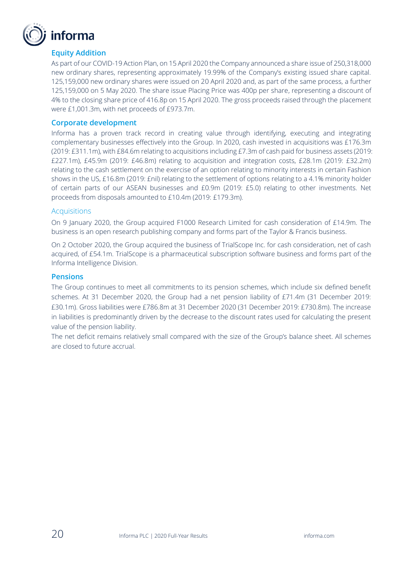

### **Equity Addition**

As part of our COVID-19 Action Plan, on 15 April 2020 the Company announced a share issue of 250,318,000 new ordinary shares, representing approximately 19.99% of the Company's existing issued share capital. 125,159,000 new ordinary shares were issued on 20 April 2020 and, as part of the same process, a further 125,159,000 on 5 May 2020. The share issue Placing Price was 400p per share, representing a discount of 4% to the closing share price of 416.8p on 15 April 2020. The gross proceeds raised through the placement were £1,001.3m, with net proceeds of £973.7m.

### **Corporate development**

Informa has a proven track record in creating value through identifying, executing and integrating complementary businesses effectively into the Group. In 2020, cash invested in acquisitions was £176.3m (2019: £311.1m), with £84.6m relating to acquisitions including £7.3m of cash paid for business assets (2019: £227.1m), £45.9m (2019: £46.8m) relating to acquisition and integration costs, £28.1m (2019: £32.2m) relating to the cash settlement on the exercise of an option relating to minority interests in certain Fashion shows in the US, £16.8m (2019: £nil) relating to the settlement of options relating to a 4.1% minority holder of certain parts of our ASEAN businesses and £0.9m (2019: £5.0) relating to other investments. Net proceeds from disposals amounted to £10.4m (2019: £179.3m).

#### **Acquisitions**

On 9 January 2020, the Group acquired F1000 Research Limited for cash consideration of £14.9m. The business is an open research publishing company and forms part of the Taylor & Francis business.

On 2 October 2020, the Group acquired the business of TrialScope Inc. for cash consideration, net of cash acquired, of £54.1m. TrialScope is a pharmaceutical subscription software business and forms part of the Informa Intelligence Division.

#### **Pensions**

The Group continues to meet all commitments to its pension schemes, which include six defined benefit schemes. At 31 December 2020, the Group had a net pension liability of £71.4m (31 December 2019: £30.1m). Gross liabilities were £786.8m at 31 December 2020 (31 December 2019: £730.8m). The increase in liabilities is predominantly driven by the decrease to the discount rates used for calculating the present value of the pension liability.

The net deficit remains relatively small compared with the size of the Group's balance sheet. All schemes are closed to future accrual.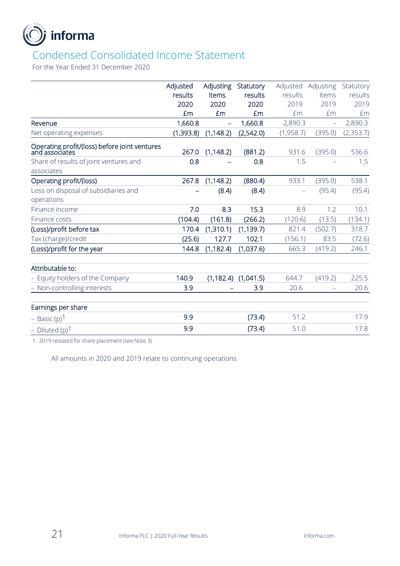

### Condensed Consolidated Income Statement

For the Year Ended 31 December 2020

|                                                                 | Adjusted  | Adjusting                | Statutory  | Adjusted  | Adjusting                | Statutory |
|-----------------------------------------------------------------|-----------|--------------------------|------------|-----------|--------------------------|-----------|
|                                                                 | results   | Items                    | results    | results   | Items                    | results   |
|                                                                 | 2020      | 2020                     | 2020       | 2019      | 2019                     | 2019      |
|                                                                 | £m        | £m                       | £m         | £m        | £m                       | £m        |
| Revenue                                                         | 1,660.8   | $\overline{\phantom{0}}$ | 1,660.8    | 2,890.3   | $\equiv$                 | 2,890.3   |
| Net operating expenses                                          | (1,393.8) | (1, 148.2)               | (2,542.0)  | (1,958.7) | (395.0)                  | (2,353.7) |
| Operating profit/(loss) before joint ventures<br>and associates | 267.0     | (1, 148.2)               | (881.2)    | 931.6     | (395.0)                  | 536.6     |
| Share of results of joint ventures and                          | 0.8       |                          | 0.8        | 1.5       |                          | 1.5       |
| associates                                                      |           |                          |            |           |                          |           |
| Operating profit/(loss)                                         | 267.8     | (1, 148.2)               | (880.4)    | 933.1     | (395.0)                  | 538.1     |
| Loss on disposal of subsidiaries and                            |           | (8.4)                    | (8.4)      |           | (95.4)                   | (95.4)    |
| operations                                                      |           |                          |            |           |                          |           |
| Finance income                                                  | 7.0       | 8.3                      | 15.3       | 8.9       | 1.2                      | 10.1      |
| Finance costs                                                   | (104.4)   | (161.8)                  | (266.2)    | (120.6)   | (13.5)                   | (134.1)   |
| (Loss)/profit before tax                                        | 170.4     | (1,310.1)                | (1, 139.7) | 821.4     | (502.7)                  | 318.7     |
| Tax (charge)/credit                                             | (25.6)    | 127.7                    | 102.1      | (156.1)   | 83.5                     | (72.6)    |
| (Loss)/profit for the year                                      | 144.8     | (1, 182.4)               | (1,037.6)  | 665.3     | (419.2)                  | 246.1     |
| Attributable to:                                                |           |                          |            |           |                          |           |
| - Equity holders of the Company                                 | 140.9     | (1, 182.4)               | (1,041.5)  | 644.7     | (419.2)                  | 225.5     |
| - Non-controlling interests                                     | 3.9       |                          | 3.9        | 20.6      | $\overline{\phantom{m}}$ | 20.6      |
| Earnings per share                                              |           |                          |            |           |                          |           |
| - Basic $(p)^1$                                                 | 9.9       |                          | (73.4)     | 51.2      |                          | 17.9      |
| - Diluted $(p)^1$                                               | 9.9       |                          | (73.4)     | 51.0      |                          | 17.8      |

1. 2019 restated for share placement (see Note 3).

All amounts in 2020 and 2019 relate to continuing operations.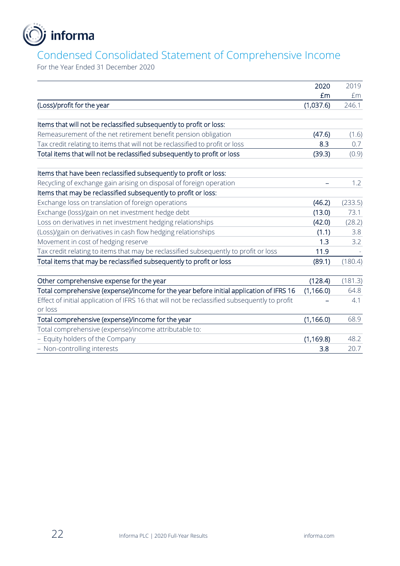

### Condensed Consolidated Statement of Comprehensive Income

For the Year Ended 31 December 2020

|                                                                                               | 2020       | 2019    |
|-----------------------------------------------------------------------------------------------|------------|---------|
|                                                                                               | £m         | £m      |
| (Loss)/profit for the year                                                                    | (1,037.6)  | 246.1   |
|                                                                                               |            |         |
| Items that will not be reclassified subsequently to profit or loss:                           |            |         |
| Remeasurement of the net retirement benefit pension obligation                                | (47.6)     | (1.6)   |
| Tax credit relating to items that will not be reclassified to profit or loss                  | 8.3        | 0.7     |
| Total items that will not be reclassified subsequently to profit or loss                      | (39.3)     | (0.9)   |
| Items that have been reclassified subsequently to profit or loss:                             |            |         |
| Recycling of exchange gain arising on disposal of foreign operation                           |            | 1.2     |
| Items that may be reclassified subsequently to profit or loss:                                |            |         |
| Exchange loss on translation of foreign operations                                            | (46.2)     | (233.5) |
| Exchange (loss)/gain on net investment hedge debt                                             | (13.0)     | 73.1    |
| Loss on derivatives in net investment hedging relationships                                   | (42.0)     | (28.2)  |
| (Loss)/gain on derivatives in cash flow hedging relationships                                 | (1.1)      | 3.8     |
| Movement in cost of hedging reserve                                                           | 1.3        | 3.2     |
| Tax credit relating to items that may be reclassified subsequently to profit or loss          | 11.9       |         |
| Total items that may be reclassified subsequently to profit or loss                           | (89.1)     | (180.4) |
|                                                                                               |            |         |
| Other comprehensive expense for the year                                                      | (128.4)    | (181.3) |
| Total comprehensive (expense)/income for the year before initial application of IFRS 16       | (1, 166.0) | 64.8    |
| Effect of initial application of IFRS 16 that will not be reclassified subsequently to profit |            | 4.1     |
| or loss                                                                                       |            |         |
| Total comprehensive (expense)/income for the year                                             | (1, 166.0) | 68.9    |
| Total comprehensive (expense)/income attributable to:                                         |            |         |
| - Equity holders of the Company                                                               | (1, 169.8) | 48.2    |
| - Non-controlling interests                                                                   | 3.8        | 20.7    |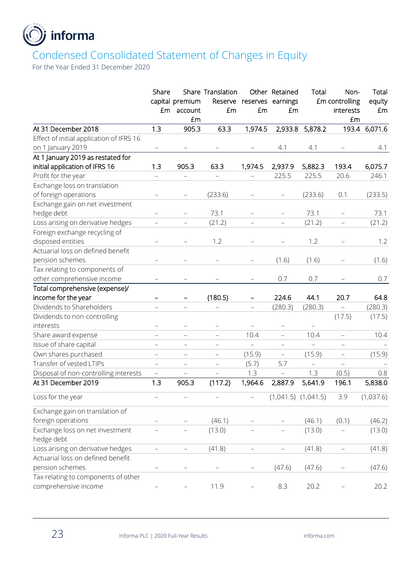

### Condensed Consolidated Statement of Changes in Equity

For the Year Ended 31 December 2020

|                                          | Share<br>£m              | capital premium<br>account<br>£m | Share Translation<br>£m  | £m                       | Other Retained<br>Reserve reserves earnings<br>£m | Total    | Non-<br>£m controlling<br>interests<br>£m | Total<br>equity<br>£m |
|------------------------------------------|--------------------------|----------------------------------|--------------------------|--------------------------|---------------------------------------------------|----------|-------------------------------------------|-----------------------|
| At 31 December 2018                      | 1.3                      | 905.3                            | 63.3                     | 1,974.5                  | 2,933.8                                           | 5,878.2  |                                           | 193.4 6,071.6         |
| Effect of initial application of IFRS 16 |                          |                                  |                          |                          |                                                   |          |                                           |                       |
| on 1 January 2019                        |                          |                                  |                          |                          | 4.1                                               | 4.1      |                                           | 4.1                   |
| At 1 January 2019 as restated for        |                          |                                  |                          |                          |                                                   |          |                                           |                       |
| initial application of IFRS 16           | 1.3                      | 905.3                            | 63.3                     | 1,974.5                  | 2,937.9                                           | 5,882.3  | 193.4                                     | 6,075.7               |
| Profit for the year                      | $\equiv$                 |                                  |                          |                          | 225.5                                             | 225.5    | 20.6                                      | 246.1                 |
| Exchange loss on translation             |                          |                                  |                          |                          |                                                   |          |                                           |                       |
| of foreign operations                    |                          |                                  | (233.6)                  |                          | $\overline{\phantom{m}}$                          | (233.6)  | 0.1                                       | (233.5)               |
| Exchange gain on net investment          |                          |                                  |                          |                          |                                                   |          |                                           |                       |
| hedge debt                               | -                        |                                  | 73.1                     |                          |                                                   | 73.1     | $\qquad \qquad -$                         | 73.1                  |
| Loss arising on derivative hedges        |                          |                                  | (21.2)                   |                          |                                                   | (21.2)   | $\equiv$                                  | (21.2)                |
| Foreign exchange recycling of            |                          |                                  |                          |                          |                                                   |          |                                           |                       |
| disposed entities                        |                          |                                  | 1.2                      | $\overline{\phantom{0}}$ |                                                   | 1.2      |                                           | 1.2                   |
| Actuarial loss on defined benefit        |                          |                                  |                          |                          |                                                   |          |                                           |                       |
| pension schemes                          |                          |                                  |                          |                          | (1.6)                                             | (1.6)    |                                           | (1.6)                 |
| Tax relating to components of            |                          |                                  |                          |                          |                                                   |          |                                           |                       |
| other comprehensive income               |                          |                                  |                          |                          | 0.7                                               | 0.7      |                                           | 0.7                   |
| Total comprehensive (expense)/           |                          |                                  |                          |                          |                                                   |          |                                           |                       |
| income for the year                      |                          | -                                | (180.5)                  | -                        | 224.6                                             | 44.1     | 20.7                                      | 64.8                  |
| Dividends to Shareholders                |                          |                                  |                          | ÷,                       | (280.3)                                           | (280.3)  | $\overline{\phantom{0}}$                  | (280.3)               |
| Dividends to non-controlling             |                          |                                  |                          |                          |                                                   |          | (17.5)                                    | (17.5)                |
| interests                                |                          |                                  |                          |                          | $\qquad \qquad -$                                 |          |                                           |                       |
| Share award expense                      |                          |                                  | $\equiv$                 | 10.4                     | $\equiv$                                          | 10.4     | $\equiv$                                  | 10.4                  |
| Issue of share capital                   | $\equiv$                 | $\equiv$                         | $\overline{\phantom{0}}$ | -                        | $\equiv$                                          | $\equiv$ | $\overline{\phantom{0}}$                  |                       |
| Own shares purchased                     | $\overline{\phantom{0}}$ | $\overline{\phantom{0}}$         | $\overline{\phantom{m}}$ | (15.9)                   | $\overline{\phantom{0}}$                          | (15.9)   | $\equiv$                                  | (15.9)                |
| Transfer of vested LTIPs                 | $\equiv$                 | $\equiv$                         | $\equiv$                 | (5.7)                    | 5.7                                               | $\equiv$ | $\equiv$                                  |                       |
| Disposal of non-controlling interests    | $\equiv$                 |                                  |                          | 1.3                      | -                                                 | 1.3      | (0.5)                                     | 0.8                   |
| At 31 December 2019                      | 1.3                      | 905.3                            | (117.2)                  | 1,964.6                  | 2,887.9                                           | 5,641.9  | 196.1                                     | 5,838.0               |
| Loss for the year                        |                          |                                  |                          | $\overline{\phantom{0}}$ | $(1,041.5)$ $(1,041.5)$                           |          | 3.9                                       | (1,037.6)             |
| Exchange gain on translation of          |                          |                                  |                          |                          |                                                   |          |                                           |                       |
| foreign operations                       |                          |                                  | (46.1)                   |                          |                                                   | (46.1)   | (0.1)                                     | (46.2)                |
| Exchange loss on net investment          |                          |                                  | (13.0)                   |                          |                                                   | (13.0)   |                                           | (13.0)                |
| hedge debt                               |                          |                                  |                          |                          |                                                   |          |                                           |                       |
| Loss arising on derivative hedges        | $\overline{\phantom{0}}$ | $\overline{\phantom{0}}$         | (41.8)                   | $\equiv$                 | $\overline{\phantom{0}}$                          | (41.8)   | $\overline{\phantom{0}}$                  | (41.8)                |
| Actuarial loss on defined benefit        |                          |                                  |                          |                          |                                                   |          |                                           |                       |
| pension schemes                          |                          |                                  |                          |                          | (47.6)                                            | (47.6)   |                                           | (47.6)                |
| Tax relating to components of other      |                          |                                  |                          |                          |                                                   |          |                                           |                       |
| comprehensive income                     |                          |                                  | 11.9                     |                          | 8.3                                               | 20.2     |                                           | 20.2                  |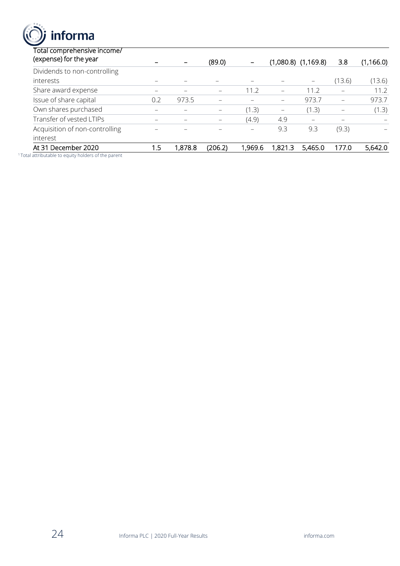informa

| At 31 December 2020<br>المستمسية بالمسالم هيما استمراط المسارية والمتحدث المستمر الماسا والمستقلات المالية | 1.5      | 1,878.8                  | (206.2) | 1,969.6 | 1,821.3           | 5,465.0                 | 177.0           | 5,642.0    |
|------------------------------------------------------------------------------------------------------------|----------|--------------------------|---------|---------|-------------------|-------------------------|-----------------|------------|
| interest                                                                                                   |          |                          |         |         |                   |                         |                 |            |
| Acquisition of non-controlling                                                                             |          |                          |         | -       | 9.3               | 9.3                     | (9.3)           |            |
| Transfer of vested LTIPs                                                                                   |          | $\overline{\phantom{0}}$ |         | (4.9)   | 4.9               |                         |                 |            |
| Own shares purchased                                                                                       | $\equiv$ |                          |         | (1.3)   | $\qquad \qquad -$ | (1.3)                   | $\qquad \qquad$ | (1.3)      |
| Issue of share capital                                                                                     | 0.2      | 973.5                    |         |         | $\qquad \qquad -$ | 973.7                   | —               | 973.7      |
| Share award expense                                                                                        |          | -                        |         | 11.2    | -                 | 11.2                    |                 | 11.2       |
| interests                                                                                                  |          |                          |         |         |                   |                         | (13.6)          | (13.6)     |
| Dividends to non-controlling                                                                               |          |                          |         |         |                   |                         |                 |            |
| Total comprehensive income/<br>(expense) for the year                                                      |          |                          | (89.0)  |         |                   | $(1,080.8)$ $(1,169.8)$ | 3.8             | (1, 166.0) |

<sup>1</sup>Total attributable to equity holders of the parent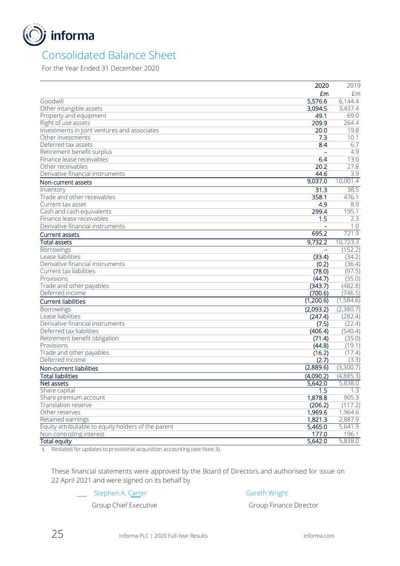

### Consolidated Balance Sheet

For the Year Ended 31 December 2020

|                                                     | 2020              | 2019             |
|-----------------------------------------------------|-------------------|------------------|
|                                                     | £m                | £m               |
| Goodwill                                            | 5,576.6           | 6,144.4          |
| Other intangible assets                             | 3,094.5           | 3,437.4          |
| Property and equipment                              | 49.1              | 69.0             |
| Right of use assets                                 | 209.9             | 264.4            |
| Investments in joint ventures and associates        | 20.0              | 19.8             |
| Other investments                                   | 7.3               | 10.1             |
| Deferred tax assets                                 | 8.4               | 6.7              |
| Retirement benefit surplus                          |                   | 4.9              |
| Finance lease receivables                           | 6.4               | 13.0             |
| Other receivables                                   | 20.2              | 27.8             |
| Derivative financial instruments                    | 44.6              | $\overline{3.9}$ |
| Non-current assets                                  | 9,037.0           | 10,001.4         |
| Inventory                                           | $\overline{31.3}$ | 38.5             |
| Trade and other receivables                         | 358.1             | 476.1            |
| Current tax asset                                   | 4.9               | 8.9              |
| Cash and cash equivalents                           | 299.4             | 195.1            |
| Finance lease receivables                           | 1.5               | 2.3              |
| Derivative financial instruments                    |                   | 1.0              |
| Current assets                                      | 695.2             | 721.9            |
| <b>Total assets</b>                                 | 9,732.2           | 10,723.3         |
| Borrowings                                          |                   | (152.2)          |
| Lease liabilities                                   | (33.4)            | (34.2)           |
| Derivative financial instruments                    | (0.2)             | (36.4)           |
| Current tax liabilities                             | (78.0)            | (97.5)           |
| Provisions                                          | (44.7)            | (35.0)           |
| Trade and other payables                            | (343.7)           | (482.8)          |
| Deferred income                                     | (700.6)           | (746.5)          |
| <b>Current liabilities</b>                          | (1,200.6)         | (1,584.6)        |
| <b>Borrowings</b>                                   | (2,093.2)         | (2,380.7)        |
| Lease liabilities                                   | (247.4)           | (282.4)          |
| Derivative financial instruments                    | (7.5)             | (22.4)           |
| Deferred tax liabilities                            | (406.4)           | (540.4)          |
| Retirement benefit obligation                       | (71.4)            | (35.0)           |
| Provisions                                          | (44.8)            | (19.1)           |
| Trade and other payables                            | (16.2)            | (17.4)           |
| Deferred income                                     | (2.7)             | (3.3)            |
| Non-current liabilities                             | (2,889.6)         | (3,300.7)        |
| <b>Total liabilities</b>                            | (4,090.2)         | (4,885.3)        |
| Net assets                                          | 5,642.0           | 5,838.0          |
| Share capital                                       | 1.5               | 1.3              |
| Share premium account                               | 1,878.8           | 905.3            |
| Translation reserve                                 | (206.2)           | (117.2)          |
| Other reserves                                      | 1,969.6           | 1,964.6          |
| Retained earnings                                   | 1,821.3           | 2,887.9          |
| Equity attributable to equity holders of the parent | 5,465.0           | 5,641.9          |
| Non-controlling interest                            | 177.0             | 196.1            |
| <b>Total equity</b>                                 | 5,642.0           | 5,838.0          |

1. Restated for updates to provisional acquisition accounting (see Note 3).

These financial statements were approved by the Board of Directors and authorised for issue on 22 April 2021 and were signed on its behalf by

Stephen A. Carter Gareth Wright

Group Chief Executive Group Finance Director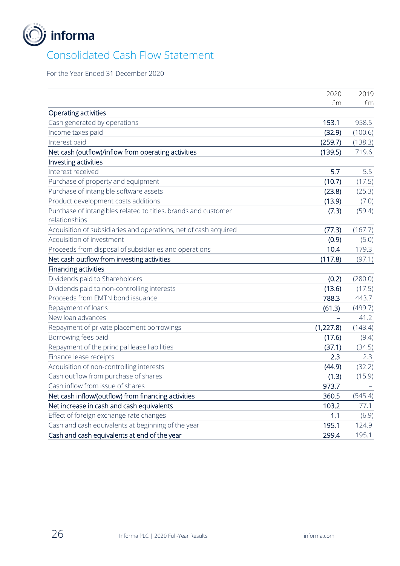

### Consolidated Cash Flow Statement

For the Year Ended 31 December 2020

|                                                                  | 2020       | 2019    |
|------------------------------------------------------------------|------------|---------|
|                                                                  | £m         | £m      |
| Operating activities                                             |            |         |
| Cash generated by operations                                     | 153.1      | 958.5   |
| Income taxes paid                                                | (32.9)     | (100.6) |
| Interest paid                                                    | (259.7)    | (138.3) |
| Net cash (outflow)/inflow from operating activities              | (139.5)    | 719.6   |
| Investing activities                                             |            |         |
| Interest received                                                | 5.7        | 5.5     |
| Purchase of property and equipment                               | (10.7)     | (17.5)  |
| Purchase of intangible software assets                           | (23.8)     | (25.3)  |
| Product development costs additions                              | (13.9)     | (7.0)   |
| Purchase of intangibles related to titles, brands and customer   | (7.3)      | (59.4)  |
| relationships                                                    |            |         |
| Acquisition of subsidiaries and operations, net of cash acquired | (77.3)     | (167.7) |
| Acquisition of investment                                        | (0.9)      | (5.0)   |
| Proceeds from disposal of subsidiaries and operations            | 10.4       | 179.3   |
| Net cash outflow from investing activities                       | (117.8)    | (97.1)  |
| Financing activities                                             |            |         |
| Dividends paid to Shareholders                                   | (0.2)      | (280.0) |
| Dividends paid to non-controlling interests                      | (13.6)     | (17.5)  |
| Proceeds from EMTN bond issuance                                 | 788.3      | 443.7   |
| Repayment of loans                                               | (61.3)     | (499.7) |
| New loan advances                                                |            | 41.2    |
| Repayment of private placement borrowings                        | (1, 227.8) | (143.4) |
| Borrowing fees paid                                              | (17.6)     | (9.4)   |
| Repayment of the principal lease liabilities                     | (37.1)     | (34.5)  |
| Finance lease receipts                                           | 2.3        | 2.3     |
| Acquisition of non-controlling interests                         | (44.9)     | (32.2)  |
| Cash outflow from purchase of shares                             | (1.3)      | (15.9)  |
| Cash inflow from issue of shares                                 | 973.7      |         |
| Net cash inflow/(outflow) from financing activities              | 360.5      | (545.4) |
| Net increase in cash and cash equivalents                        | 103.2      | 77.1    |
| Effect of foreign exchange rate changes                          | 1.1        | (6.9)   |
| Cash and cash equivalents at beginning of the year               | 195.1      | 124.9   |
| Cash and cash equivalents at end of the year                     | 299.4      | 195.1   |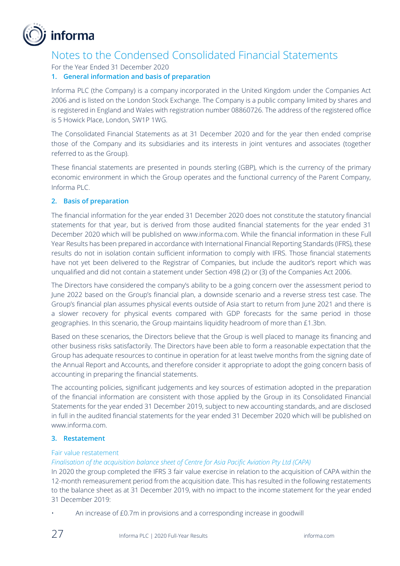

### Notes to the Condensed Consolidated Financial Statements

For the Year Ended 31 December 2020

### **1. General information and basis of preparation**

Informa PLC (the Company) is a company incorporated in the United Kingdom under the Companies Act 2006 and is listed on the London Stock Exchange. The Company is a public company limited by shares and is registered in England and Wales with registration number 08860726. The address of the registered office is 5 Howick Place, London, SW1P 1WG.

The Consolidated Financial Statements as at 31 December 2020 and for the year then ended comprise those of the Company and its subsidiaries and its interests in joint ventures and associates (together referred to as the Group).

These financial statements are presented in pounds sterling (GBP), which is the currency of the primary economic environment in which the Group operates and the functional currency of the Parent Company, Informa PLC.

### **2. Basis of preparation**

The financial information for the year ended 31 December 2020 does not constitute the statutory financial statements for that year, but is derived from those audited financial statements for the year ended 31 December 2020 which will be published on www.informa.com. While the financial information in these Full Year Results has been prepared in accordance with International Financial Reporting Standards (IFRS), these results do not in isolation contain sufficient information to comply with IFRS. Those financial statements have not yet been delivered to the Registrar of Companies, but include the auditor's report which was unqualified and did not contain a statement under Section 498 (2) or (3) of the Companies Act 2006.

The Directors have considered the company's ability to be a going concern over the assessment period to June 2022 based on the Group's financial plan, a downside scenario and a reverse stress test case. The Group's financial plan assumes physical events outside of Asia start to return from June 2021 and there is a slower recovery for physical events compared with GDP forecasts for the same period in those geographies. In this scenario, the Group maintains liquidity headroom of more than £1.3bn.

Based on these scenarios, the Directors believe that the Group is well placed to manage its financing and other business risks satisfactorily. The Directors have been able to form a reasonable expectation that the Group has adequate resources to continue in operation for at least twelve months from the signing date of the Annual Report and Accounts, and therefore consider it appropriate to adopt the going concern basis of accounting in preparing the financial statements.

The accounting policies, significant judgements and key sources of estimation adopted in the preparation of the financial information are consistent with those applied by the Group in its Consolidated Financial Statements for the year ended 31 December 2019, subject to new accounting standards, and are disclosed in full in the audited financial statements for the year ended 31 December 2020 which will be published on www.informa.com.

### **3. Restatement**

### Fair value restatement

*Finalisation of the acquisition balance sheet of Centre for Asia Pacific Aviation Pty Ltd (CAPA)*

In 2020 the group completed the IFRS 3 fair value exercise in relation to the acquisition of CAPA within the 12-month remeasurement period from the acquisition date. This has resulted in the following restatements to the balance sheet as at 31 December 2019, with no impact to the income statement for the year ended 31 December 2019:

An increase of £0.7m in provisions and a corresponding increase in goodwill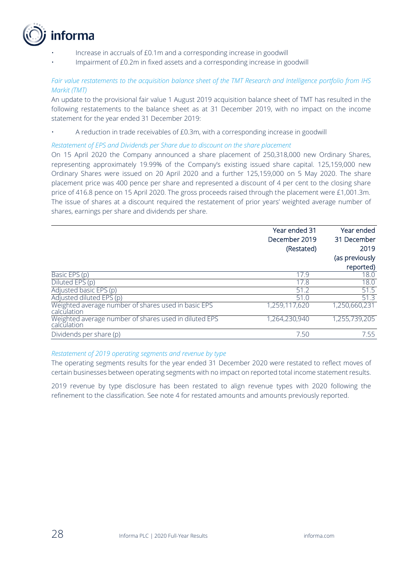

- Increase in accruals of £0.1m and a corresponding increase in goodwill
- Impairment of £0.2m in fixed assets and a corresponding increase in goodwill

### *Fair value restatements to the acquisition balance sheet of the TMT Research and Intelligence portfolio from IHS Markit (TMT)*

An update to the provisional fair value 1 August 2019 acquisition balance sheet of TMT has resulted in the following restatements to the balance sheet as at 31 December 2019, with no impact on the income statement for the year ended 31 December 2019:

• A reduction in trade receivables of £0.3m, with a corresponding increase in goodwill

### *Restatement of EPS and Dividends per Share due to discount on the share placement*

On 15 April 2020 the Company announced a share placement of 250,318,000 new Ordinary Shares, representing approximately 19.99% of the Company's existing issued share capital. 125,159,000 new Ordinary Shares were issued on 20 April 2020 and a further 125,159,000 on 5 May 2020. The share placement price was 400 pence per share and represented a discount of 4 per cent to the closing share price of 416.8 pence on 15 April 2020. The gross proceeds raised through the placement were £1,001.3m. The issue of shares at a discount required the restatement of prior years' weighted average number of shares, earnings per share and dividends per share.

|                                                                      | Year ended 31<br>December 2019<br>(Restated) | Year ended<br>31 December<br>2019<br>(as previously |
|----------------------------------------------------------------------|----------------------------------------------|-----------------------------------------------------|
|                                                                      |                                              | reported)                                           |
| Basic EPS (p)                                                        | 17.9                                         | 18.0                                                |
| Diluted EPS (p)                                                      | 17.8                                         | 18.0                                                |
| Adjusted basic EPS (p)                                               | 51.2                                         | 51.5                                                |
| Adjusted diluted EPS (p)                                             | 51.0                                         | 51.3                                                |
| Weighted average number of shares used in basic EPS<br>calculation   | 1,259,117,620                                | 1,250,660,231                                       |
| Weighted average number of shares used in diluted EPS<br>calculation | 1,264,230,940                                | 1,255,739,205                                       |
| Dividends per share (p)                                              | 7.50                                         | 7.55                                                |

#### *Restatement of 2019 operating segments and revenue by type*

The operating segments results for the year ended 31 December 2020 were restated to reflect moves of certain businesses between operating segments with no impact on reported total income statement results.

2019 revenue by type disclosure has been restated to align revenue types with 2020 following the refinement to the classification. See note 4 for restated amounts and amounts previously reported.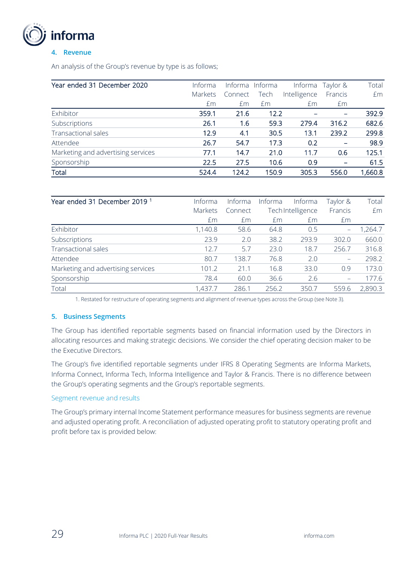

### **4. Revenue**

An analysis of the Group's revenue by type is as follows;

| Year ended 31 December 2020        | Informa |         | Informa Informa | Informa      | Taylor &        | Total   |
|------------------------------------|---------|---------|-----------------|--------------|-----------------|---------|
|                                    | Markets | Connect | Tech            | Intelligence | Francis         | £m      |
|                                    | £m      | £m      | £m              | £m           | £m              |         |
| Exhibitor                          | 359.1   | 21.6    | 12.2            |              |                 | 392.9   |
| Subscriptions                      | 26.1    | 1.6     | 59.3            | 279.4        | 316.2           | 682.6   |
| Transactional sales                | 12.9    | 4.1     | 30.5            | 13.1         | 239.2           | 299.8   |
| Attendee                           | 26.7    | 54.7    | 17.3            | 0.2          |                 | 98.9    |
| Marketing and advertising services | 77.1    | 14.7    | 21.0            | 11.7         | 0.6             | 125.1   |
| Sponsorship                        | 22.5    | 27.5    | 10.6            | 0.9          | $\qquad \qquad$ | 61.5    |
| Total                              | 524.4   | 124.2   | 150.9           | 305.3        | 556.0           | 1,660.8 |

| Year ended 31 December 2019 <sup>1</sup> | Informa | Informa | Informa | Informa           | Taylor &                       | Total   |
|------------------------------------------|---------|---------|---------|-------------------|--------------------------------|---------|
|                                          | Markets | Connect |         | Tech Intelligence | Francis                        | £m      |
|                                          | £m      | Em      | £m      | £m                | £m                             |         |
| Exhibitor                                | 1,140.8 | 58.6    | 64.8    | 0.5               | $\qquad \qquad \longleftarrow$ | ,264.7  |
| Subscriptions                            | 23.9    | 2.0     | 38.2    | 293.9             | 302.0                          | 660.0   |
| <b>Transactional sales</b>               | 12.7    | 5.7     | 23.0    | 18.7              | 256.7                          | 316.8   |
| Attendee                                 | 80.7    | 138.7   | 76.8    | 2.0               | $\qquad \qquad -$              | 298.2   |
| Marketing and advertising services       | 101.2   | 21.1    | 16.8    | 33.0              | 0.9                            | 173.0   |
| Sponsorship                              | 78.4    | 60.0    | 36.6    | 2.6               |                                | 177.6   |
| Total                                    | 1,437.7 | 286.1   | 256.2   | 350.7             | 559.6                          | 2,890.3 |

1. Restated for restructure of operating segments and alignment of revenue types across the Group (see Note 3).

### **5. Business Segments**

The Group has identified reportable segments based on financial information used by the Directors in allocating resources and making strategic decisions. We consider the chief operating decision maker to be the Executive Directors.

The Group's five identified reportable segments under IFRS 8 Operating Segments are Informa Markets, Informa Connect, Informa Tech, Informa Intelligence and Taylor & Francis. There is no difference between the Group's operating segments and the Group's reportable segments.

#### Segment revenue and results

The Group's primary internal Income Statement performance measures for business segments are revenue and adjusted operating profit. A reconciliation of adjusted operating profit to statutory operating profit and profit before tax is provided below: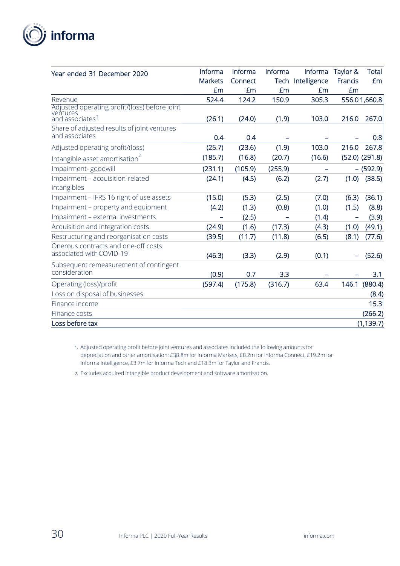

| Year ended 31 December 2020                                                              | Informa | Informa | Informa | Informa      | Taylor & | <b>Total</b>       |
|------------------------------------------------------------------------------------------|---------|---------|---------|--------------|----------|--------------------|
|                                                                                          | Markets | Connect | Tech    | Intelligence | Francis  | £m                 |
|                                                                                          | £m      | £m      | £m      | £m           | £m       |                    |
| Revenue                                                                                  | 524.4   | 124.2   | 150.9   | 305.3        |          | 556.01,660.8       |
| Adjusted operating profit/(loss) before joint<br>ventures<br>and associates <sup>1</sup> | (26.1)  | (24.0)  | (1.9)   | 103.0        | 216.0    | 267.0              |
| Share of adjusted results of joint ventures                                              |         |         |         |              |          |                    |
| and associates                                                                           | 0.4     | 0.4     |         |              |          | 0.8                |
| Adjusted operating profit/(loss)                                                         | (25.7)  | (23.6)  | (1.9)   | 103.0        | 216.0    | 267.8              |
| Intangible asset amortisation <sup>2</sup>                                               | (185.7) | (16.8)  | (20.7)  | (16.6)       |          | $(52.0)$ $(291.8)$ |
| Impairment-goodwill                                                                      | (231.1) | (105.9) | (255.9) |              |          | $-$ (592.9)        |
| Impairment - acquisition-related                                                         | (24.1)  | (4.5)   | (6.2)   | (2.7)        | (1.0)    | (38.5)             |
| intangibles                                                                              |         |         |         |              |          |                    |
| Impairment - IFRS 16 right of use assets                                                 | (15.0)  | (5.3)   | (2.5)   | (7.0)        | (6.3)    | (36.1)             |
| Impairment - property and equipment                                                      | (4.2)   | (1.3)   | (0.8)   | (1.0)        | (1.5)    | (8.8)              |
| Impairment - external investments                                                        |         | (2.5)   |         | (1.4)        | -        | (3.9)              |
| Acquisition and integration costs                                                        | (24.9)  | (1.6)   | (17.3)  | (4.3)        | (1.0)    | (49.1)             |
| Restructuring and reorganisation costs                                                   | (39.5)  | (11.7)  | (11.8)  | (6.5)        | (8.1)    | (77.6)             |
| Onerous contracts and one-off costs<br>associated with COVID-19                          | (46.3)  | (3.3)   | (2.9)   | (0.1)        |          | (52.6)             |
| Subsequent remeasurement of contingent<br>consideration                                  | (0.9)   | 0.7     | 3.3     |              |          | 3.1                |
| Operating (loss)/profit                                                                  | (597.4) | (175.8) | (316.7) | 63.4         | 146.1    | (880.4)            |
| Loss on disposal of businesses                                                           |         |         |         |              |          | (8.4)              |
| Finance income                                                                           |         |         |         |              |          | 15.3               |
| Finance costs                                                                            |         |         |         |              |          | (266.2)            |
| Loss before tax                                                                          |         |         |         |              |          | (1, 139.7)         |

1. Adjusted operating profit before joint ventures and associates included the following amounts for depreciation and other amortisation: £38.8m for Informa Markets, £8.2m for Informa Connect, £19.2m for Informa Intelligence, £3.7m for Informa Tech and £18.3m for Taylor and Francis.

2. Excludes acquired intangible product development and software amortisation.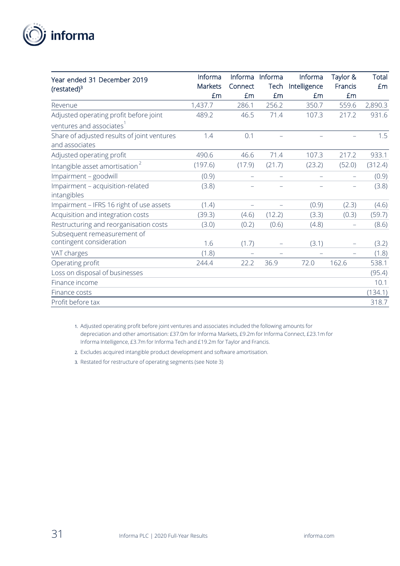

| Year ended 31 December 2019                 | Informa | Informa                  | Informa | Informa      | Taylor &                 | Total   |
|---------------------------------------------|---------|--------------------------|---------|--------------|--------------------------|---------|
| $(restated)^3$                              | Markets | Connect                  | Tech    | Intelligence | Francis                  | £m      |
|                                             | £m      | £m                       | £m      | Em           | £m                       |         |
| Revenue                                     | 1,437.7 | 286.1                    | 256.2   | 350.7        | 559.6                    | 2,890.3 |
| Adjusted operating profit before joint      | 489.2   | 46.5                     | 71.4    | 107.3        | 217.2                    | 931.6   |
| ventures and associates <sup>1</sup>        |         |                          |         |              |                          |         |
| Share of adjusted results of joint ventures | 1.4     | 0.1                      |         |              |                          | 1.5     |
| and associates                              |         |                          |         |              |                          |         |
| Adjusted operating profit                   | 490.6   | 46.6                     | 71.4    | 107.3        | 217.2                    | 933.1   |
| Intangible asset amortisation <sup>2</sup>  | (197.6) | (17.9)                   | (21.7)  | (23.2)       | (52.0)                   | (312.4) |
| Impairment - goodwill                       | (0.9)   | $\qquad \qquad -$        |         |              |                          | (0.9)   |
| Impairment - acquisition-related            | (3.8)   |                          |         |              | $\overline{\phantom{0}}$ | (3.8)   |
| intangibles                                 |         |                          |         |              |                          |         |
| Impairment - IFRS 16 right of use assets    | (1.4)   | $\overline{\phantom{0}}$ |         | (0.9)        | (2.3)                    | (4.6)   |
| Acquisition and integration costs           | (39.3)  | (4.6)                    | (12.2)  | (3.3)        | (0.3)                    | (59.7)  |
| Restructuring and reorganisation costs      | (3.0)   | (0.2)                    | (0.6)   | (4.8)        |                          | (8.6)   |
| Subsequent remeasurement of                 |         |                          |         |              |                          |         |
| contingent consideration                    | 1.6     | (1.7)                    |         | (3.1)        |                          | (3.2)   |
| VAT charges                                 | (1.8)   |                          |         |              |                          | (1.8)   |
| Operating profit                            | 244.4   | 22.2                     | 36.9    | 72.0         | 162.6                    | 538.1   |
| Loss on disposal of businesses              |         |                          |         |              |                          | (95.4)  |
| Finance income                              |         |                          |         |              |                          | 10.1    |
| Finance costs                               |         |                          |         |              |                          | (134.1) |
| Profit before tax                           |         |                          |         |              |                          | 318.7   |

1. Adjusted operating profit before joint ventures and associates included the following amounts for depreciation and other amortisation: £37.0m for Informa Markets, £9.2m for Informa Connect, £23.1m for Informa Intelligence, £3.7m for Informa Tech and £19.2m for Taylor and Francis.

- 2. Excludes acquired intangible product development and software amortisation.
- 3. Restated for restructure of operating segments (see Note 3)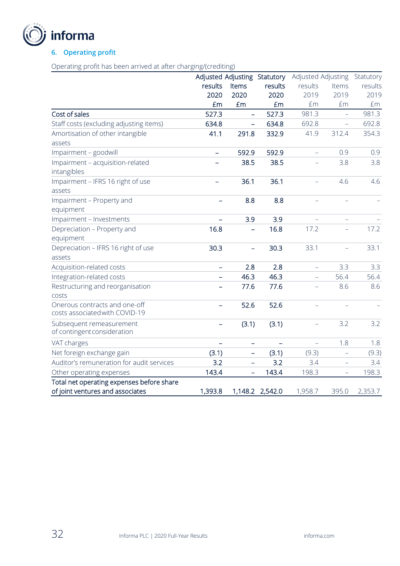

### **6. Operating profit**

Operating profit has been arrived at after charging/(crediting)

|                                           |                          | Adjusted Adjusting Statutory |                          | Adjusted Adjusting       |                   | Statutory |
|-------------------------------------------|--------------------------|------------------------------|--------------------------|--------------------------|-------------------|-----------|
|                                           | results                  | Items                        | results                  | results                  | Items             | results   |
|                                           | 2020                     | 2020                         | 2020                     | 2019                     | 2019              | 2019      |
|                                           | £m                       | £m                           | £m                       | £m                       | £m                | £m        |
| Cost of sales                             | 527.3                    |                              | 527.3                    | 981.3                    |                   | 981.3     |
| Staff costs (excluding adjusting items)   | 634.8                    |                              | 634.8                    | 692.8                    |                   | 692.8     |
| Amortisation of other intangible          | 41.1                     | 291.8                        | 332.9                    | 41.9                     | 312.4             | 354.3     |
| assets                                    |                          |                              |                          |                          |                   |           |
| Impairment - goodwill                     | $\equiv$                 | 592.9                        | 592.9                    | L,                       | 0.9               | 0.9       |
| Impairment - acquisition-related          |                          | 38.5                         | 38.5                     |                          | 3.8               | 3.8       |
| intangibles                               |                          |                              |                          |                          |                   |           |
| Impairment - IFRS 16 right of use         |                          | 36.1                         | 36.1                     | $\equiv$                 | 4.6               | 4.6       |
| assets                                    |                          |                              |                          |                          |                   |           |
| Impairment - Property and                 |                          | 8.8                          | 8.8                      |                          |                   |           |
| equipment                                 |                          |                              |                          |                          |                   |           |
| Impairment - Investments                  | $\overline{\phantom{0}}$ | 3.9                          | 3.9                      |                          |                   |           |
| Depreciation - Property and               | 16.8                     |                              | 16.8                     | 17.2                     |                   | 17.2      |
| equipment                                 |                          |                              |                          |                          |                   |           |
| Depreciation - IFRS 16 right of use       | 30.3                     | $\overline{\phantom{0}}$     | 30.3                     | 33.1                     |                   | 33.1      |
| assets                                    |                          |                              |                          |                          |                   |           |
| Acquisition-related costs                 | $\equiv$                 | 2.8                          | 2.8                      | ÷,                       | 3.3               | 3.3       |
| Integration-related costs                 |                          | 46.3                         | 46.3                     | $\overline{\phantom{0}}$ | 56.4              | 56.4      |
| Restructuring and reorganisation          |                          | 77.6                         | 77.6                     | $\overline{\phantom{0}}$ | 8.6               | 8.6       |
| costs                                     |                          |                              |                          |                          |                   |           |
| Onerous contracts and one-off             |                          | 52.6                         | 52.6                     |                          |                   |           |
| costs associated with COVID-19            |                          |                              |                          |                          |                   |           |
| Subsequent remeasurement                  | $\overline{\phantom{0}}$ | (3.1)                        | (3.1)                    |                          | 3.2               | 3.2       |
| of contingent consideration               |                          |                              |                          |                          |                   |           |
| VAT charges                               | $\overline{\phantom{0}}$ | $\qquad \qquad -$            | $\overline{\phantom{0}}$ | $\equiv$                 | 1.8               | 1.8       |
| Net foreign exchange gain                 | (3.1)                    |                              | (3.1)                    | (9.3)                    |                   | (9.3)     |
| Auditor's remuneration for audit services | 3.2                      | $\overline{\phantom{0}}$     | 3.2                      | 3.4                      |                   | 3.4       |
| Other operating expenses                  | 143.4                    | $\qquad \qquad -$            | 143.4                    | 198.3                    | $\qquad \qquad -$ | 198.3     |
| Total net operating expenses before share |                          |                              |                          |                          |                   |           |
| of joint ventures and associates          | 1,393.8                  |                              | 1,148.2 2,542.0          | 1,958.7                  | 395.0             | 2,353.7   |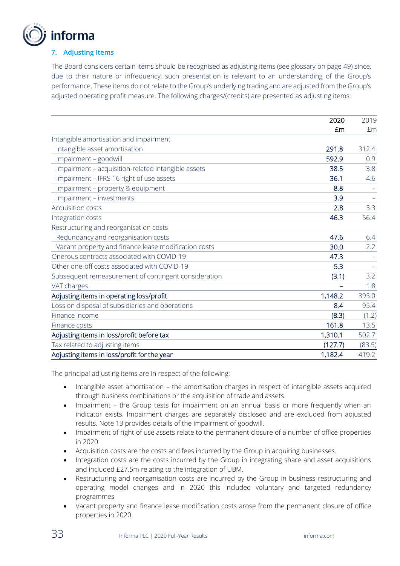

### **7. Adjusting Items**

The Board considers certain items should be recognised as adjusting items (see glossary on page 49) since, due to their nature or infrequency, such presentation is relevant to an understanding of the Group's performance. These items do not relate to the Group's underlying trading and are adjusted from the Group's adjusted operating profit measure. The following charges/(credits) are presented as adjusting items:

|                                                      | 2020    | 2019   |
|------------------------------------------------------|---------|--------|
|                                                      | £m      | £m     |
| Intangible amortisation and impairment               |         |        |
| Intangible asset amortisation                        | 291.8   | 312.4  |
| Impairment - goodwill                                | 592.9   | 0.9    |
| Impairment - acquisition-related intangible assets   | 38.5    | 3.8    |
| Impairment - IFRS 16 right of use assets             | 36.1    | 4.6    |
| Impairment - property & equipment                    | 8.8     |        |
| Impairment - investments                             | 3.9     |        |
| Acquisition costs                                    | 2.8     | 3.3    |
| Integration costs                                    | 46.3    | 56.4   |
| Restructuring and reorganisation costs               |         |        |
| Redundancy and reorganisation costs                  | 47.6    | 6.4    |
| Vacant property and finance lease modification costs | 30.0    | 2.2    |
| Onerous contracts associated with COVID-19           | 47.3    |        |
| Other one-off costs associated with COVID-19         | 5.3     |        |
| Subsequent remeasurement of contingent consideration | (3.1)   | 3.2    |
| VAT charges                                          |         | 1.8    |
| Adjusting items in operating loss/profit             | 1,148.2 | 395.0  |
| Loss on disposal of subsidiaries and operations      | 8.4     | 95.4   |
| Finance income                                       | (8.3)   | (1.2)  |
| Finance costs                                        | 161.8   | 13.5   |
| Adjusting items in loss/profit before tax            | 1,310.1 | 502.7  |
| Tax related to adjusting items                       | (127.7) | (83.5) |
| Adjusting items in loss/profit for the year          | 1,182.4 | 419.2  |

The principal adjusting items are in respect of the following:

- Intangible asset amortisation the amortisation charges in respect of intangible assets acquired through business combinations or the acquisition of trade and assets.
- Impairment the Group tests for impairment on an annual basis or more frequently when an indicator exists. Impairment charges are separately disclosed and are excluded from adjusted results. Note 13 provides details of the impairment of goodwill.
- Impairment of right of use assets relate to the permanent closure of a number of office properties in 2020.
- Acquisition costs are the costs and fees incurred by the Group in acquiring businesses.
- Integration costs are the costs incurred by the Group in integrating share and asset acquisitions and included £27.5m relating to the integration of UBM.
- Restructuring and reorganisation costs are incurred by the Group in business restructuring and operating model changes and in 2020 this included voluntary and targeted redundancy programmes
- Vacant property and finance lease modification costs arose from the permanent closure of office properties in 2020.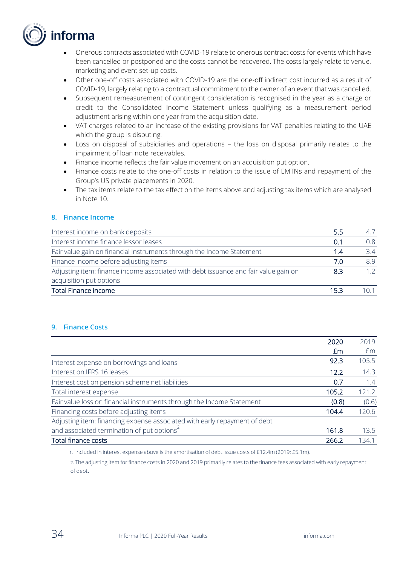

- Onerous contracts associated with COVID-19 relate to onerous contract costs for events which have been cancelled or postponed and the costs cannot be recovered. The costs largely relate to venue, marketing and event set-up costs.
- Other one-off costs associated with COVID-19 are the one-off indirect cost incurred as a result of COVID-19, largely relating to a contractual commitment to the owner of an event that was cancelled.
- Subsequent remeasurement of contingent consideration is recognised in the year as a charge or credit to the Consolidated Income Statement unless qualifying as a measurement period adjustment arising within one year from the acquisition date.
- VAT charges related to an increase of the existing provisions for VAT penalties relating to the UAE which the group is disputing.
- Loss on disposal of subsidiaries and operations the loss on disposal primarily relates to the impairment of loan note receivables.
- Finance income reflects the fair value movement on an acquisition put option.
- Finance costs relate to the one-off costs in relation to the issue of EMTNs and repayment of the Group's US private placements in 2020.
- The tax items relate to the tax effect on the items above and adjusting tax items which are analysed in Note 10.

### **8. Finance Income**

| Interest income on bank deposits                                                    | 5.5 |     |
|-------------------------------------------------------------------------------------|-----|-----|
| Interest income finance lessor leases                                               | 0.1 | 0.8 |
| Fair value gain on financial instruments through the Income Statement               | 1.4 | 34  |
| Finance income before adjusting items                                               | 7.0 | 89  |
| Adjusting item: finance income associated with debt issuance and fair value gain on | 83  |     |
| acquisition put options                                                             |     |     |
| <b>Total Finance income</b>                                                         | 153 |     |

#### **9. Finance Costs**

|                                                                           | 2020  | 2019  |
|---------------------------------------------------------------------------|-------|-------|
|                                                                           | £m    | £m    |
| Interest expense on borrowings and loans                                  | 92.3  | 105.5 |
| Interest on IFRS 16 leases                                                | 12.2  | 14.3  |
| Interest cost on pension scheme net liabilities                           | 0.7   | 1.4   |
| Total interest expense                                                    | 105.2 | 121.2 |
| Fair value loss on financial instruments through the Income Statement     | (0.8) | (0.6) |
| Financing costs before adjusting items                                    | 104.4 | 120.6 |
| Adjusting item: financing expense associated with early repayment of debt |       |       |
| and associated termination of put options <sup>2</sup>                    | 161.8 | 13.5  |
| Total finance costs                                                       | 266.2 | 134.1 |

1. Included in interest expense above is the amortisation of debt issue costs of £12.4m (2019: £5.1m).

2. The adjusting item for finance costs in 2020 and 2019 primarily relates to the finance fees associated with early repayment of debt.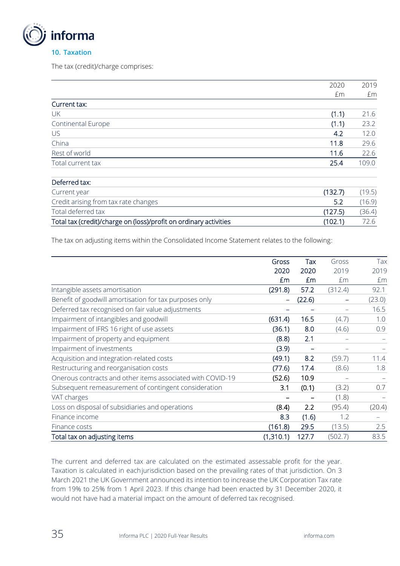

The tax (credit)/charge comprises:

|                           | 2020  | 2019  |
|---------------------------|-------|-------|
|                           | £m    | £m    |
| Current tax:              |       |       |
| UK                        | (1.1) | 21.6  |
| <b>Continental Europe</b> | (1.1) | 23.2  |
| US                        | 4.2   | 12.0  |
| China                     | 11.8  | 29.6  |
| Rest of world             | 11.6  | 22.6  |
| Total current tax         | 25.4  | 109.0 |
|                           |       |       |

| Deferred tax:                                                     |         |        |
|-------------------------------------------------------------------|---------|--------|
| Current year                                                      | (132.7) | (19.5) |
| Credit arising from tax rate changes                              | -5.2    | (16.9) |
| Total deferred tax                                                | (127.5) | (36.4) |
| Total tax (credit)/charge on (loss)/profit on ordinary activities | (102.1) |        |

The tax on adjusting items within the Consolidated Income Statement relates to the following:

|                                                            | Gross     | Tax    | Gross   | Tax    |
|------------------------------------------------------------|-----------|--------|---------|--------|
|                                                            | 2020      | 2020   | 2019    | 2019   |
|                                                            | £m        | Em     | £m      | Em     |
| Intangible assets amortisation                             | (291.8)   | 57.2   | (312.4) | 92.1   |
| Benefit of goodwill amortisation for tax purposes only     |           | (22.6) |         | (23.0) |
| Deferred tax recognised on fair value adjustments          |           |        |         | 16.5   |
| Impairment of intangibles and goodwill                     | (631.4)   | 16.5   | (4.7)   | 1.0    |
| Impairment of IFRS 16 right of use assets                  | (36.1)    | 8.0    | (4.6)   | 0.9    |
| Impairment of property and equipment                       | (8.8)     | 2.1    |         |        |
| Impairment of investments                                  | (3.9)     |        |         |        |
| Acquisition and integration-related costs                  | (49.1)    | 8.2    | (59.7)  | 11.4   |
| Restructuring and reorganisation costs                     | (77.6)    | 17.4   | (8.6)   | 1.8    |
| Onerous contracts and other items associated with COVID-19 | (52.6)    | 10.9   |         |        |
| Subsequent remeasurement of contingent consideration       | 3.1       | (0.1)  | (3.2)   | 0.7    |
| VAT charges                                                |           |        | (1.8)   |        |
| Loss on disposal of subsidiaries and operations            | (8.4)     | 2.2    | (95.4)  | (20.4) |
| Finance income                                             | 8.3       | (1.6)  | 1.2     |        |
| Finance costs                                              | (161.8)   | 29.5   | (13.5)  | 2.5    |
| Total tax on adjusting items                               | (1,310.1) | 127.7  | (502.7) | 83.5   |

The current and deferred tax are calculated on the estimated assessable profit for the year. Taxation is calculated in eachjurisdiction based on the prevailing rates of that jurisdiction. On 3 March 2021 the UK Government announced its intention to increase the UK Corporation Tax rate from 19% to 25% from 1 April 2023. If this change had been enacted by 31 December 2020, it would not have had a material impact on the amount of deferred tax recognised.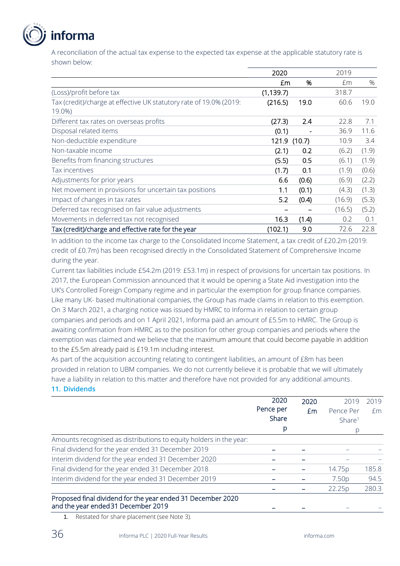# nforma

A reconciliation of the actual tax expense to the expected tax expense at the applicable statutory rate is shown below:

|                                                                              | 2020         |       | 2019   |       |
|------------------------------------------------------------------------------|--------------|-------|--------|-------|
|                                                                              | £m           | %     | £m     | $\%$  |
| (Loss)/profit before tax                                                     | (1, 139.7)   |       | 318.7  |       |
| Tax (credit)/charge at effective UK statutory rate of 19.0% (2019:<br>19.0%) | (216.5)      | 19.0  | 60.6   | 19.0  |
| Different tax rates on overseas profits                                      | (27.3)       | 2.4   | 22.8   | 7.1   |
| Disposal related items                                                       | (0.1)        |       | 36.9   | 11.6  |
| Non-deductible expenditure                                                   | 121.9 (10.7) |       | 10.9   | 3.4   |
| Non-taxable income                                                           | (2.1)        | 0.2   | (6.2)  | (1.9) |
| Benefits from financing structures                                           | (5.5)        | 0.5   | (6.1)  | (1.9) |
| Tax incentives                                                               | (1.7)        | 0.1   | (1.9)  | (0.6) |
| Adjustments for prior years                                                  | 6.6          | (0.6) | (6.9)  | (2.2) |
| Net movement in provisions for uncertain tax positions                       | 1.1          | (0.1) | (4.3)  | (1.3) |
| Impact of changes in tax rates                                               | 5.2          | (0.4) | (16.9) | (5.3) |
| Deferred tax recognised on fair value adjustments                            |              |       | (16.5) | (5.2) |
| Movements in deferred tax not recognised                                     | 16.3         | (1.4) | 0.2    | 0.1   |
| Tax (credit)/charge and effective rate for the year                          | (102.1)      | 9.0   | 72.6   | 22.8  |

In addition to the income tax charge to the Consolidated Income Statement, a tax credit of £20.2m (2019: credit of £0.7m) has been recognised directly in the Consolidated Statement of Comprehensive Income during the year.

Current tax liabilities include £54.2m (2019: £53.1m) in respect of provisions for uncertain tax positions. In 2017, the European Commission announced that it would be opening a State Aid investigation into the UK's Controlled Foreign Company regime and in particular the exemption for group finance companies. Like many UK- based multinational companies, the Group has made claims in relation to this exemption. On 3 March 2021, a charging notice was issued by HMRC to Informa in relation to certain group companies and periods and on 1 April 2021, Informa paid an amount of £5.5m to HMRC. The Group is awaiting confirmation from HMRC as to the position for other group companies and periods where the exemption was claimed and we believe that the maximum amount that could become payable in addition to the £5.5m already paid is £19.1m including interest.

As part of the acquisition accounting relating to contingent liabilities, an amount of £8m has been provided in relation to UBM companies. We do not currently believe it is probable that we will ultimately have a liability in relation to this matter and therefore have not provided for any additional amounts.

### **11. Dividends**

|                                                                    | 2020      | 2020 | 2019               | 2019  |
|--------------------------------------------------------------------|-----------|------|--------------------|-------|
|                                                                    | Pence per | Em   | Pence Per          | Em    |
|                                                                    | Share     |      | Share <sup>1</sup> |       |
|                                                                    | p         |      |                    |       |
| Amounts recognised as distributions to equity holders in the year: |           |      |                    |       |
| Final dividend for the year ended 31 December 2019                 |           |      |                    |       |
| Interim dividend for the year ended 31 December 2020               |           |      |                    |       |
| Final dividend for the year ended 31 December 2018                 |           |      | 14.75p             | 185.8 |
| Interim dividend for the year ended 31 December 2019               |           |      | 7.50p              | 94.5  |
|                                                                    |           |      | 22.25p             | 280.3 |
| Proposed final dividend for the year ended 31 December 2020        |           |      |                    |       |
| and the year ended 31 December 2019                                |           |      |                    |       |

1. Restated for share placement (see Note 3).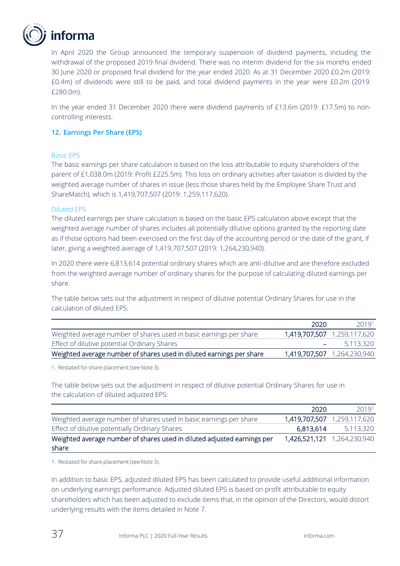

In April 2020 the Group announced the temporary suspension of dividend payments, including the withdrawal of the proposed 2019 final dividend. There was no interim dividend for the six months ended 30 June 2020 or proposed final dividend for the year ended 2020. As at 31 December 2020 £0.2m (2019: £0.4m) of dividends were still to be paid, and total dividend payments in the year were £0.2m (2019: £280.0m).

In the year ended 31 December 2020 there were dividend payments of £13.6m (2019: £17.5m) to noncontrolling interests.

### **12. Earnings Per Share (EPS)**

#### Basic EPS

The basic earnings per share calculation is based on the loss attributable to equity shareholders of the parent of £1,038.0m (2019: Profit £225.5m). This loss on ordinary activities after taxation is divided by the weighted average number of shares in issue (less those shares held by the Employee Share Trust and ShareMatch), which is 1,419,707,507 (2019: 1,259,117,620).

#### Diluted EPS

The diluted earnings per share calculation is based on the basic EPS calculation above except that the weighted average number of shares includes all potentially dilutive options granted by the reporting date as if those options had been exercised on the first day of the accounting period or the date of the grant, if later, giving a weighted average of 1,419,707,507 (2019: 1,264,230,940).

In 2020 there were 6,813,614 potential ordinary shares which are anti-dilutive and are therefore excluded from the weighted average number of ordinary shares for the purpose of calculating diluted earnings per share.

The table below sets out the adjustment in respect of dilutive potential Ordinary Shares for use in the calculation of diluted EPS:

|                                                                      | 2020 | 2019 <sup>1</sup>           |
|----------------------------------------------------------------------|------|-----------------------------|
| Weighted average number of shares used in basic earnings per share   |      | 1,419,707,507 1,259,117,620 |
| Effect of dilutive potential Ordinary Shares                         |      | $-$ 5.113.320               |
| Weighted average number of shares used in diluted earnings per share |      | 1,419,707,507 1,264,230,940 |

1. Restated for share placement (see Note 3).

The table below sets out the adjustment in respect of dilutive potential Ordinary Shares for use in the calculation of diluted adjusted EPS:

|                                                                         | 2020      | 20191                       |
|-------------------------------------------------------------------------|-----------|-----------------------------|
| Weighted average number of shares used in basic earnings per share      |           | 1,419,707,507 1,259,117,620 |
| Effect of dilutive potentially Ordinary Shares                          | 6,813,614 | 5,113,320                   |
| Weighted average number of shares used in diluted adjusted earnings per |           | 1,426,521,121 1,264,230,940 |
| share                                                                   |           |                             |

1. Restated for share placement (see Note 3).

In addition to basic EPS, adjusted diluted EPS has been calculated to provide useful additional information on underlying earnings performance. Adjusted diluted EPS is based on profit attributable to equity shareholders which has been adjusted to exclude items that, in the opinion of the Directors, would distort underlying results with the items detailed in Note 7.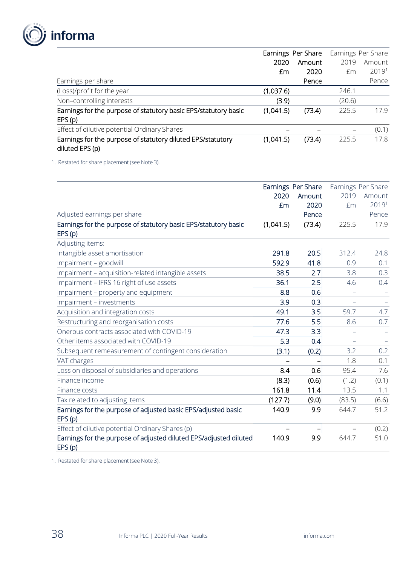

|                                                                                | Earnings Per Share |        |        | Earnings Per Share |
|--------------------------------------------------------------------------------|--------------------|--------|--------|--------------------|
|                                                                                | 2020               | Amount | 2019   | Amount             |
|                                                                                | £m                 | 2020   | £m     | 20191              |
| Earnings per share                                                             |                    | Pence  |        | Pence              |
| (Loss)/profit for the year                                                     | (1,037.6)          |        | 246.1  |                    |
| Non-controlling interests                                                      | (3.9)              |        | (20.6) |                    |
| Earnings for the purpose of statutory basic EPS/statutory basic                | (1,041.5)          | (73.4) | 225.5  | 17.9               |
| EPS(p)                                                                         |                    |        |        |                    |
| Effect of dilutive potential Ordinary Shares                                   |                    |        |        | (0.1)              |
| Earnings for the purpose of statutory diluted EPS/statutory<br>diluted EPS (p) | (1,041.5)          | (73.4) | 225.5  | 17.8               |

1. Restated for share placement (see Note 3).

|                                                                   |           | Earnings Per Share |                          | Earnings Per Share |
|-------------------------------------------------------------------|-----------|--------------------|--------------------------|--------------------|
|                                                                   | 2020      | Amount             | 2019                     | Amount             |
|                                                                   | £m        | 2020               | £m                       | 20191              |
| Adjusted earnings per share                                       |           | Pence              |                          | Pence              |
| Earnings for the purpose of statutory basic EPS/statutory basic   | (1,041.5) | (73.4)             | 225.5                    | 17.9               |
| EPS(p)                                                            |           |                    |                          |                    |
| Adjusting items:                                                  |           |                    |                          |                    |
| Intangible asset amortisation                                     | 291.8     | 20.5               | 312.4                    | 24.8               |
| Impairment - goodwill                                             | 592.9     | 41.8               | 0.9                      | 0.1                |
| Impairment - acquisition-related intangible assets                | 38.5      | 2.7                | 3.8                      | 0.3                |
| Impairment - IFRS 16 right of use assets                          | 36.1      | 2.5                | 4.6                      | 0.4                |
| Impairment - property and equipment                               | 8.8       | 0.6                |                          |                    |
| Impairment - investments                                          | 3.9       | 0.3                |                          |                    |
| Acquisition and integration costs                                 | 49.1      | 3.5                | 59.7                     | 4.7                |
| Restructuring and reorganisation costs                            | 77.6      | 5.5                | 8.6                      | 0.7                |
| Onerous contracts associated with COVID-19                        | 47.3      | 3.3                |                          |                    |
| Other items associated with COVID-19                              | 5.3       | 0.4                | $\overline{\phantom{m}}$ |                    |
| Subsequent remeasurement of contingent consideration              | (3.1)     | (0.2)              | 3.2                      | 0.2                |
| VAT charges                                                       |           |                    | 1.8                      | 0.1                |
| Loss on disposal of subsidiaries and operations                   | 8.4       | 0.6                | 95.4                     | 7.6                |
| Finance income                                                    | (8.3)     | (0.6)              | (1.2)                    | (0.1)              |
| Finance costs                                                     | 161.8     | 11.4               | 13.5                     | 1.1                |
| Tax related to adjusting items                                    | (127.7)   | (9.0)              | (83.5)                   | (6.6)              |
| Earnings for the purpose of adjusted basic EPS/adjusted basic     | 140.9     | 9.9                | 644.7                    | 51.2               |
| EPS(p)                                                            |           |                    |                          |                    |
| Effect of dilutive potential Ordinary Shares (p)                  |           |                    |                          | (0.2)              |
| Earnings for the purpose of adjusted diluted EPS/adjusted diluted | 140.9     | 9.9                | 644.7                    | 51.0               |
| EPS(p)                                                            |           |                    |                          |                    |

1. Restated for share placement (see Note 3).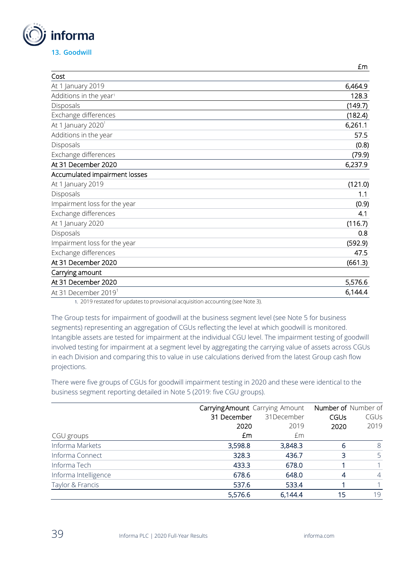

|                                    | £m      |
|------------------------------------|---------|
| Cost                               |         |
| At 1 January 2019                  | 6,464.9 |
| Additions in the year <sup>1</sup> | 128.3   |
| Disposals                          | (149.7) |
| Exchange differences               | (182.4) |
| At 1 January 2020 <sup>1</sup>     | 6,261.1 |
| Additions in the year              | 57.5    |
| Disposals                          | (0.8)   |
| Exchange differences               | (79.9)  |
| At 31 December 2020                | 6,237.9 |
| Accumulated impairment losses      |         |
| At 1 January 2019                  | (121.0) |
| Disposals                          | 1.1     |
| Impairment loss for the year       | (0.9)   |
| Exchange differences               | 4.1     |
| At 1 January 2020                  | (116.7) |
| Disposals                          | 0.8     |
| Impairment loss for the year       | (592.9) |
| Exchange differences               | 47.5    |
| At 31 December 2020                | (661.3) |
| Carrying amount                    |         |
| At 31 December 2020                | 5,576.6 |
| At 31 December 2019 <sup>1</sup>   | 6,144.4 |

1. 2019 restated for updates to provisional acquisition accounting (see Note 3).

The Group tests for impairment of goodwill at the business segment level (see Note 5 for business segments) representing an aggregation of CGUs reflecting the level at which goodwill is monitored. Intangible assets are tested for impairment at the individual CGU level. The impairment testing of goodwill involved testing for impairment at a segment level by aggregating the carrying value of assets across CGUs in each Division and comparing this to value in use calculations derived from the latest Group cash flow projections.

There were five groups of CGUs for goodwill impairment testing in 2020 and these were identical to the business segment reporting detailed in Note 5 (2019: five CGU groups).

|                      |             | Carrying Amount Carrying Amount |      |                |
|----------------------|-------------|---------------------------------|------|----------------|
|                      | 31 December | 31December                      | CGUs | CGUs           |
|                      | 2020        | 2019                            | 2020 | 2019           |
| CGU groups           | £m          | £m                              |      |                |
| Informa Markets      | 3,598.8     | 3,848.3                         | 6    | 8              |
| Informa Connect      | 328.3       | 436.7                           | 3    | 5              |
| Informa Tech         | 433.3       | 678.0                           |      |                |
| Informa Intelligence | 678.6       | 648.0                           | 4    | $\overline{4}$ |
| Taylor & Francis     | 537.6       | 533.4                           |      |                |
|                      | 5,576.6     | 6,144.4                         | 15   | 19             |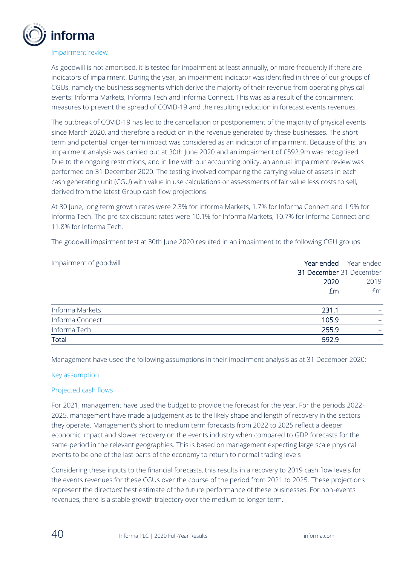

#### Impairment review

As goodwill is not amortised, it is tested for impairment at least annually, or more frequently if there are indicators of impairment. During the year, an impairment indicator was identified in three of our groups of CGUs, namely the business segments which derive the majority of their revenue from operating physical events: Informa Markets, Informa Tech and Informa Connect. This was as a result of the containment measures to prevent the spread of COVID-19 and the resulting reduction in forecast events revenues.

The outbreak of COVID-19 has led to the cancellation or postponement of the majority of physical events since March 2020, and therefore a reduction in the revenue generated by these businesses. The short term and potential longer-term impact was considered as an indicator of impairment. Because of this, an impairment analysis was carried out at 30th June 2020 and an impairment of £592.9m was recognised. Due to the ongoing restrictions, and in line with our accounting policy, an annual impairment review was performed on 31 December 2020. The testing involved comparing the carrying value of assets in each cash generating unit (CGU) with value in use calculations or assessments of fair value less costs to sell, derived from the latest Group cash flow projections.

At 30 June, long term growth rates were 2.3% for Informa Markets, 1.7% for Informa Connect and 1.9% for Informa Tech. The pre-tax discount rates were 10.1% for Informa Markets, 10.7% for Informa Connect and 11.8% for Informa Tech.

The goodwill impairment test at 30th June 2020 resulted in an impairment to the following CGU groups

| Impairment of goodwill | Year ended<br>Year ended |
|------------------------|--------------------------|
|                        | 31 December 31 December  |
|                        | 2019<br>2020             |
|                        | £m<br>£m                 |
|                        |                          |
| Informa Markets        | 231.1                    |
| Informa Connect        | 105.9                    |
| Informa Tech           | 255.9                    |
| <b>Total</b>           | 592.9                    |

Management have used the following assumptions in their impairment analysis as at 31 December 2020:

#### Key assumption

### Projected cash flows

For 2021, management have used the budget to provide the forecast for the year. For the periods 2022- 2025, management have made a judgement as to the likely shape and length of recovery in the sectors they operate. Management's short to medium term forecasts from 2022 to 2025 reflect a deeper economic impact and slower recovery on the events industry when compared to GDP forecasts for the same period in the relevant geographies. This is based on management expecting large scale physical events to be one of the last parts of the economy to return to normal trading levels

Considering these inputs to the financial forecasts, this results in a recovery to 2019 cash flow levels for the events revenues for these CGUs over the course of the period from 2021 to 2025. These projections represent the directors' best estimate of the future performance of these businesses. For non-events revenues, there is a stable growth trajectory over the medium to longer term.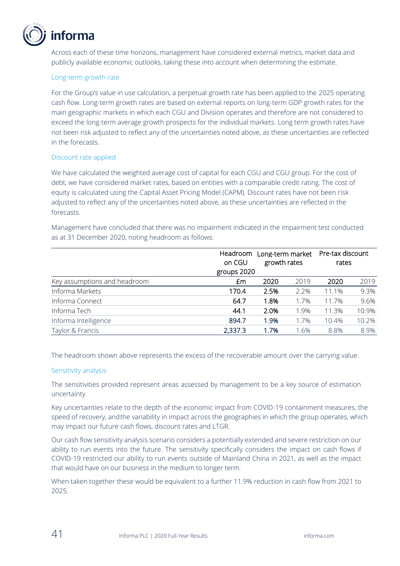

Across each of these time horizons, management have considered external metrics, market data and publicly available economic outlooks, taking these into account when determining the estimate.

### Long-term growth rate

For the Group's value in use calculation, a perpetual growth rate has been applied to the 2025 operating cash flow. Long-term growth rates are based on external reports on long-term GDP growth rates for the main geographic markets in which each CGU and Division operates and therefore are not considered to exceed the long-term average growth prospects for the individual markets. Long term growth rates have not been risk adjusted to reflect any of the uncertainties noted above, as these uncertainties are reflected in the forecasts.

### Discount rate applied

We have calculated the weighted average cost of capital for each CGU and CGU group. For the cost of debt, we have considered market rates, based on entities with a comparable credit rating. The cost of equity is calculated using the Capital Asset Pricing Model (CAPM). Discount rates have not been risk adjusted to reflect any of the uncertainties noted above, as these uncertainties are reflected in the forecasts.

Management have concluded that there was no impairment indicated in the impairment test conducted as at 31 December 2020, noting headroom as follows:

|                              | on CGU      | Long-term market<br>growth rates |      | Pre-tax discount<br>Headroom<br>rates |       |  |
|------------------------------|-------------|----------------------------------|------|---------------------------------------|-------|--|
|                              | groups 2020 |                                  |      |                                       |       |  |
| Key assumptions and headroom | £m          | 2020                             | 2019 | 2020                                  | 2019  |  |
| Informa Markets              | 170.4       | 2.5%                             | 2.2% | 11.1%                                 | 9.3%  |  |
| Informa Connect              | 64.7        | 1.8%                             | 1.7% | 11.7%                                 | 9.6%  |  |
| Informa Tech                 | 44.1        | 2.0%                             | 1.9% | 11.3%                                 | 10.9% |  |
| Informa Intelligence         | 894.7       | 1.9%                             | 1.7% | 10.4%                                 | 10.2% |  |
| Taylor & Francis             | 2,337.3     | 1.7%                             | 1.6% | 8.8%                                  | 8.9%  |  |

The headroom shown above represents the excess of the recoverable amount over the carrying value.

#### Sensitivity analysis

The sensitivities provided represent areas assessed by management to be a key source of estimation uncertainty.

Key uncertainties relate to the depth of the economic impact from COVID-19 containment measures, the speed of recovery, andthe variability in impact across the geographies in which the group operates, which may impact our future cash flows, discount rates and LTGR.

Our cash flow sensitivity analysis scenario considers a potentially extended and severe restriction on our ability to run events into the future. The sensitivity specifically considers the impact on cash flows if COVID-19 restricted our ability to run events outside of Mainland China in 2021, as well as the impact that would have on our business in the medium to longer term.

When taken together these would be equivalent to a further 11.9% reduction in cash flow from 2021 to 2025.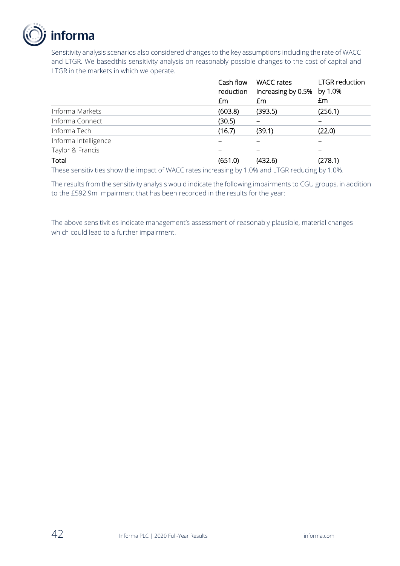

Sensitivity analysis scenarios also considered changes to the key assumptions including the rate of WACC and LTGR. We basedthis sensitivity analysis on reasonably possible changes to the cost of capital and LTGR in the markets in which we operate.

|                      | Cash flow<br>reduction<br>£m | <b>WACC</b> rates<br>increasing by 0.5%<br>£m | <b>LTGR</b> reduction<br>by 1.0%<br>£m |
|----------------------|------------------------------|-----------------------------------------------|----------------------------------------|
| Informa Markets      | (603.8)                      | (393.5)                                       | (256.1)                                |
| Informa Connect      | (30.5)                       |                                               |                                        |
| Informa Tech         | (16.7)                       | (39.1)                                        | (22.0)                                 |
| Informa Intelligence |                              |                                               |                                        |
| Taylor & Francis     |                              |                                               |                                        |
| Total                | (651.0)                      | (432.6)                                       | (278.1)                                |

These sensitivities show the impact of WACC rates increasing by 1.0% and LTGR reducing by 1.0%.

The results from the sensitivity analysis would indicate the following impairments to CGU groups, in addition to the £592.9m impairment that has been recorded in the results for the year:

The above sensitivities indicate management's assessment of reasonably plausible, material changes which could lead to a further impairment.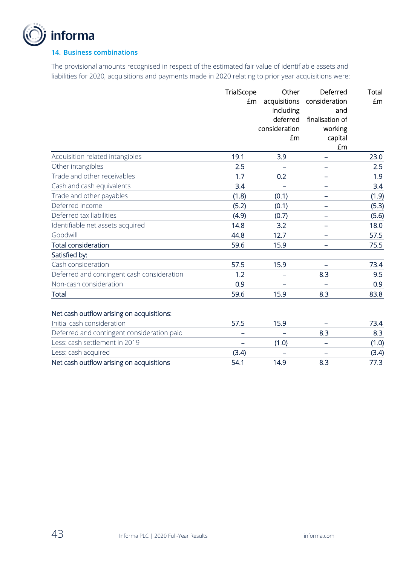

### **14. Business combinations**

The provisional amounts recognised in respect of the estimated fair value of identifiable assets and liabilities for 2020, acquisitions and payments made in 2020 relating to prior year acquisitions were:

|                                            | TrialScope | Other         | Deferred                 | Total |
|--------------------------------------------|------------|---------------|--------------------------|-------|
|                                            | £m         | acquisitions  | consideration            | £m    |
|                                            |            | including     | and                      |       |
|                                            |            | deferred      | finalisation of          |       |
|                                            |            | consideration | working                  |       |
|                                            |            | £m            | capital                  |       |
|                                            |            |               | £m                       |       |
| Acquisition related intangibles            | 19.1       | 3.9           | -                        | 23.0  |
| Other intangibles                          | 2.5        |               |                          | 2.5   |
| Trade and other receivables                | 1.7        | 0.2           | -                        | 1.9   |
| Cash and cash equivalents                  | 3.4        |               |                          | 3.4   |
| Trade and other payables                   | (1.8)      | (0.1)         | $\overline{\phantom{0}}$ | (1.9) |
| Deferred income                            | (5.2)      | (0.1)         | -                        | (5.3) |
| Deferred tax liabilities                   | (4.9)      | (0.7)         |                          | (5.6) |
| Identifiable net assets acquired           | 14.8       | 3.2           | $\equiv$                 | 18.0  |
| Goodwill                                   | 44.8       | 12.7          |                          | 57.5  |
| <b>Total consideration</b>                 | 59.6       | 15.9          | $\equiv$                 | 75.5  |
| Satisfied by:                              |            |               |                          |       |
| Cash consideration                         | 57.5       | 15.9          |                          | 73.4  |
| Deferred and contingent cash consideration | 1.2        | -             | 8.3                      | 9.5   |
| Non-cash consideration                     | 0.9        |               |                          | 0.9   |
| <b>Total</b>                               | 59.6       | 15.9          | 8.3                      | 83.8  |
|                                            |            |               |                          |       |
| Net cash outflow arising on acquisitions:  |            |               |                          |       |
| Initial cash consideration                 | 57.5       | 15.9          |                          | 73.4  |
| Deferred and contingent consideration paid |            |               | 8.3                      | 8.3   |
| Less: cash settlement in 2019              |            | (1.0)         | ۰                        | (1.0) |
| Less: cash acquired                        | (3.4)      |               |                          | (3.4) |
| Net cash outflow arising on acquisitions   | 54.1       | 14.9          | 8.3                      | 77.3  |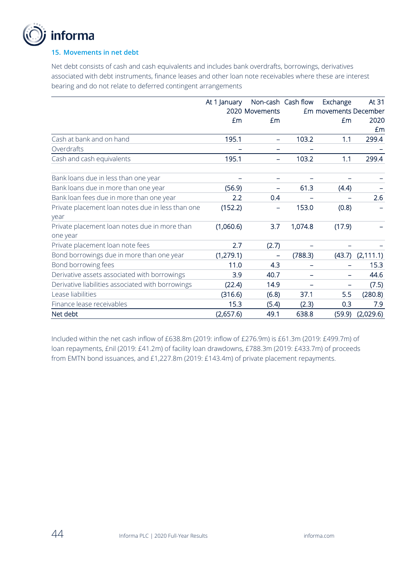

### **15. Movements in net debt**

Net debt consists of cash and cash equivalents and includes bank overdrafts, borrowings, derivatives associated with debt instruments, finance leases and other loan note receivables where these are interest bearing and do not relate to deferred contingent arrangements

|                                                           | At 1 January | Non-cash Cash flow |         | Exchange                     | At 31                |
|-----------------------------------------------------------|--------------|--------------------|---------|------------------------------|----------------------|
|                                                           |              | 2020 Movements     |         | <b>£m</b> movements December |                      |
|                                                           | Em           | Em                 |         | £m                           | 2020                 |
|                                                           |              |                    |         |                              | £m                   |
| Cash at bank and on hand                                  | 195.1        |                    | 103.2   | 1.1                          | 299.4                |
| Overdrafts                                                |              |                    |         |                              |                      |
| Cash and cash equivalents                                 | 195.1        |                    | 103.2   | 1.1                          | 299.4                |
| Bank loans due in less than one year                      |              |                    |         |                              |                      |
| Bank loans due in more than one year                      | (56.9)       |                    | 61.3    | (4.4)                        |                      |
| Bank loan fees due in more than one year                  | 2.2          | 0.4                |         |                              | 2.6                  |
| Private placement loan notes due in less than one<br>year | (152.2)      |                    | 153.0   | (0.8)                        |                      |
| Private placement loan notes due in more than<br>one year | (1,060.6)    | 3.7                | 1,074.8 | (17.9)                       |                      |
| Private placement loan note fees                          | 2.7          | (2.7)              |         |                              |                      |
| Bond borrowings due in more than one year                 | (1, 279.1)   |                    | (788.3) |                              | $(43.7)$ $(2,111.1)$ |
| Bond borrowing fees                                       | 11.0         | 4.3                |         |                              | 15.3                 |
| Derivative assets associated with borrowings              | 3.9          | 40.7               |         |                              | 44.6                 |
| Derivative liabilities associated with borrowings         | (22.4)       | 14.9               |         |                              | (7.5)                |
| Lease liabilities                                         | (316.6)      | (6.8)              | 37.1    | 5.5                          | (280.8)              |
| Finance lease receivables                                 | 15.3         | (5.4)              | (2.3)   | 0.3                          | 7.9                  |
| Net debt                                                  | (2,657.6)    | 49.1               | 638.8   | (59.9)                       | (2,029.6)            |

Included within the net cash inflow of £638.8m (2019: inflow of £276.9m) is £61.3m (2019: £499.7m) of loan repayments, £nil (2019: £41.2m) of facility loan drawdowns, £788.3m (2019: £433.7m) of proceeds from EMTN bond issuances, and £1,227.8m (2019: £143.4m) of private placement repayments.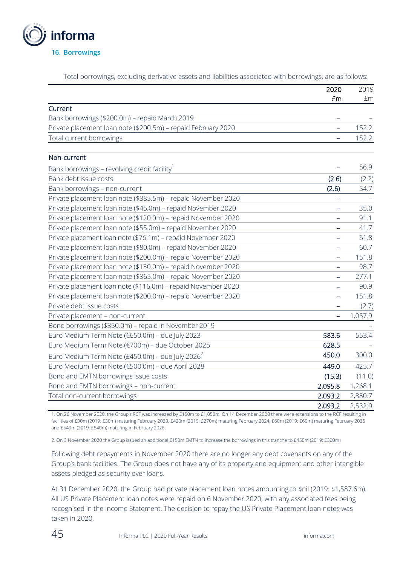

Total borrowings, excluding derivative assets and liabilities associated with borrowings, are as follows:

|                                                               | 2020                     | 2019    |
|---------------------------------------------------------------|--------------------------|---------|
|                                                               | £m                       | £m      |
| Current                                                       |                          |         |
| Bank borrowings (\$200.0m) - repaid March 2019                |                          |         |
| Private placement loan note (\$200.5m) - repaid February 2020 | ÷                        | 152.2   |
| Total current borrowings                                      |                          | 152.2   |
| Non-current                                                   |                          |         |
| Bank borrowings - revolving credit facility                   | $\equiv$                 | 56.9    |
| Bank debt issue costs                                         | (2.6)                    | (2.2)   |
| Bank borrowings - non-current                                 | (2.6)                    | 54.7    |
| Private placement loan note (\$385.5m) - repaid November 2020 | -                        |         |
| Private placement loan note (\$45.0m) - repaid November 2020  |                          | 35.0    |
| Private placement loan note (\$120.0m) - repaid November 2020 | $\overline{\phantom{0}}$ | 91.1    |
| Private placement loan note (\$55.0m) - repaid November 2020  |                          | 41.7    |
| Private placement loan note (\$76.1m) - repaid November 2020  |                          | 61.8    |
| Private placement loan note (\$80.0m) - repaid November 2020  |                          | 60.7    |
| Private placement loan note (\$200.0m) - repaid November 2020 | $\overline{\phantom{0}}$ | 151.8   |
| Private placement loan note (\$130.0m) - repaid November 2020 | $\qquad \qquad -$        | 98.7    |
| Private placement loan note (\$365.0m) - repaid November 2020 | ۰                        | 277.1   |
| Private placement loan note (\$116.0m) - repaid November 2020 |                          | 90.9    |
| Private placement loan note (\$200.0m) - repaid November 2020 | $\overline{\phantom{0}}$ | 151.8   |
| Private debt issue costs                                      |                          | (2.7)   |
| Private placement - non-current                               | $\qquad \qquad -$        | 1,057.9 |
| Bond borrowings (\$350.0m) - repaid in November 2019          |                          |         |
| Euro Medium Term Note (€650.0m) - due July 2023               | 583.6                    | 553.4   |
| Euro Medium Term Note (€700m) - due October 2025              | 628.5                    |         |
| Euro Medium Term Note (£450.0m) - due July 2026 <sup>2</sup>  | 450.0                    | 300.0   |
| Euro Medium Term Note (€500.0m) - due April 2028              | 449.0                    | 425.7   |
| Bond and EMTN borrowings issue costs                          | (15.3)                   | (11.0)  |
| Bond and EMTN borrowings - non-current                        | 2,095.8                  | 1,268.1 |
| Total non-current borrowings                                  | 2,093.2                  | 2,380.7 |
|                                                               | 2,093.2                  | 2,532.9 |

1. On 26 November 2020, the Group's RCF was increased by £150m to £1,050m. On 14 December 2020 there were extensions to the RCF resulting in facilities of £30m (2019: £30m) maturing February 2023, £420m (2019: £270m) maturing February 2024, £60m (2019: £60m) maturing February 2025 and £540m (2019: £540m) maturing in February 2026.

2. On 3 November 2020 the Group issued an additional £150m EMTN to increase the borrowings in this tranche to £450m (2019: £300m)

Following debt repayments in November 2020 there are no longer any debt covenants on any of the Group's bank facilities. The Group does not have any of its property and equipment and other intangible assets pledged as security over loans.

At 31 December 2020, the Group had private placement loan notes amounting to \$nil (2019: \$1,587.6m). All US Private Placement loan notes were repaid on 6 November 2020, with any associated fees being recognised in the Income Statement. The decision to repay the US Private Placement loan notes was taken in 2020.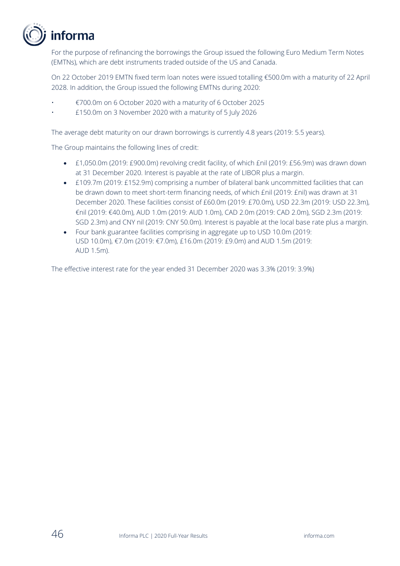

For the purpose of refinancing the borrowings the Group issued the following Euro Medium Term Notes (EMTNs), which are debt instruments traded outside of the US and Canada.

On 22 October 2019 EMTN fixed term loan notes were issued totalling €500.0m with a maturity of 22 April 2028. In addition, the Group issued the following EMTNs during 2020:

- €700.0m on 6 October 2020 with a maturity of 6 October 2025
- £150.0m on 3 November 2020 with a maturity of 5 July 2026

The average debt maturity on our drawn borrowings is currently 4.8 years (2019: 5.5 years).

The Group maintains the following lines of credit:

- £1,050.0m (2019: £900.0m) revolving credit facility, of which £nil (2019: £56.9m) was drawn down at 31 December 2020. Interest is payable at the rate of LIBOR plus a margin.
- £109.7m (2019: £152.9m) comprising a number of bilateral bank uncommitted facilities that can be drawn down to meet short-term financing needs, of which £nil (2019: £nil) was drawn at 31 December 2020. These facilities consist of £60.0m (2019: £70.0m), USD 22.3m (2019: USD 22.3m), €nil (2019: €40.0m), AUD 1.0m (2019: AUD 1.0m), CAD 2.0m (2019: CAD 2.0m), SGD 2.3m (2019: SGD 2.3m) and CNY nil (2019: CNY 50.0m). Interest is payable at the local base rate plus a margin.
- Four bank guarantee facilities comprising in aggregate up to USD 10.0m (2019: USD 10.0m), €7.0m (2019: €7.0m), £16.0m (2019: £9.0m) and AUD 1.5m (2019: AUD 1.5m).

The effective interest rate for the year ended 31 December 2020 was 3.3% (2019: 3.9%)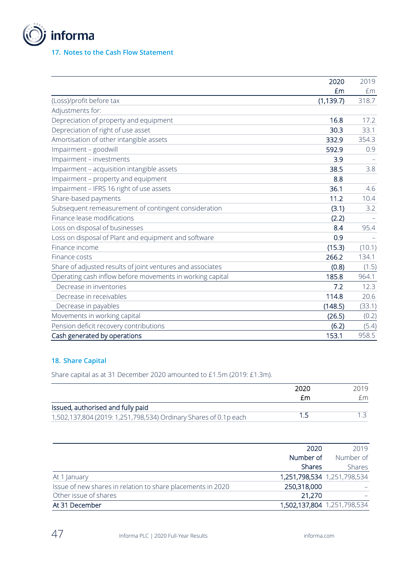

### **17. Notes to the Cash Flow Statement**

|                                                            | 2020       | 2019   |
|------------------------------------------------------------|------------|--------|
|                                                            | £m         | £m     |
| (Loss)/profit before tax                                   | (1, 139.7) | 318.7  |
| Adjustments for:                                           |            |        |
| Depreciation of property and equipment                     | 16.8       | 17.2   |
| Depreciation of right of use asset                         | 30.3       | 33.1   |
| Amortisation of other intangible assets                    | 332.9      | 354.3  |
| Impairment - goodwill                                      | 592.9      | 0.9    |
| Impairment - investments                                   | 3.9        |        |
| Impairment - acquisition intangible assets                 | 38.5       | 3.8    |
| Impairment - property and equipment                        | 8.8        |        |
| Impairment - IFRS 16 right of use assets                   | 36.1       | 4.6    |
| Share-based payments                                       | 11.2       | 10.4   |
| Subsequent remeasurement of contingent consideration       | (3.1)      | 3.2    |
| Finance lease modifications                                | (2.2)      |        |
| Loss on disposal of businesses                             | 8.4        | 95.4   |
| Loss on disposal of Plant and equipment and software       | 0.9        |        |
| Finance income                                             | (15.3)     | (10.1) |
| Finance costs                                              | 266.2      | 134.1  |
| Share of adjusted results of joint ventures and associates | (0.8)      | (1.5)  |
| Operating cash inflow before movements in working capital  | 185.8      | 964.1  |
| Decrease in inventories                                    | 7.2        | 12.3   |
| Decrease in receivables                                    | 114.8      | 20.6   |
| Decrease in payables                                       | (148.5)    | (33.1) |
| Movements in working capital                               | (26.5)     | (0.2)  |
| Pension deficit recovery contributions                     | (6.2)      | (5.4)  |
| Cash generated by operations                               | 153.1      | 958.5  |

### **18. Share Capital**

Share capital as at 31 December 2020 amounted to £1.5m (2019: £1.3m).

|                                                                  | 2020 | 2019 |
|------------------------------------------------------------------|------|------|
|                                                                  | £m   | f m  |
| Issued, authorised and fully paid                                |      |      |
| 1,502,137,804 (2019: 1,251,798,534) Ordinary Shares of 0.1p each |      |      |

|                                                             | 2020          | 2019                        |
|-------------------------------------------------------------|---------------|-----------------------------|
|                                                             | Number of     | Number of                   |
|                                                             | <b>Shares</b> | Shares                      |
| At 1 January                                                |               | 1,251,798,534 1,251,798,534 |
| Issue of new shares in relation to share placements in 2020 | 250,318,000   |                             |
| Other issue of shares                                       | 21,270        |                             |
| At 31 December                                              |               | 1,502,137,804 1,251,798,534 |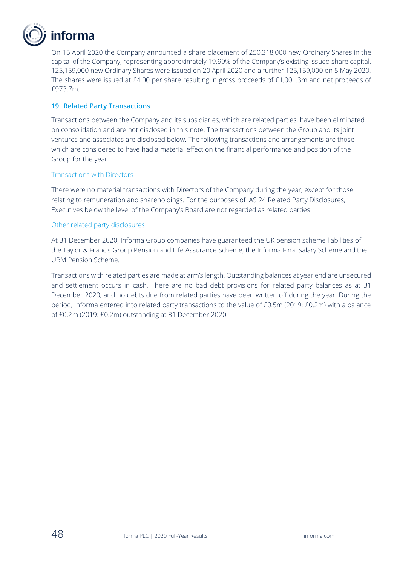

On 15 April 2020 the Company announced a share placement of 250,318,000 new Ordinary Shares in the capital of the Company, representing approximately 19.99% of the Company's existing issued share capital. 125,159,000 new Ordinary Shares were issued on 20 April 2020 and a further 125,159,000 on 5 May 2020. The shares were issued at £4.00 per share resulting in gross proceeds of £1,001.3m and net proceeds of £973.7m.

### **19. Related Party Transactions**

Transactions between the Company and its subsidiaries, which are related parties, have been eliminated on consolidation and are not disclosed in this note. The transactions between the Group and its joint ventures and associates are disclosed below. The following transactions and arrangements are those which are considered to have had a material effect on the financial performance and position of the Group for the year.

### Transactions with Directors

There were no material transactions with Directors of the Company during the year, except for those relating to remuneration and shareholdings. For the purposes of IAS 24 Related Party Disclosures, Executives below the level of the Company's Board are not regarded as related parties.

### Other related party disclosures

At 31 December 2020, Informa Group companies have guaranteed the UK pension scheme liabilities of the Taylor & Francis Group Pension and Life Assurance Scheme, the Informa Final Salary Scheme and the UBM Pension Scheme.

Transactions with related parties are made at arm's length. Outstanding balances at year end are unsecured and settlement occurs in cash. There are no bad debt provisions for related party balances as at 31 December 2020, and no debts due from related parties have been written off during the year. During the period, Informa entered into related party transactions to the value of £0.5m (2019: £0.2m) with a balance of £0.2m (2019: £0.2m) outstanding at 31 December 2020.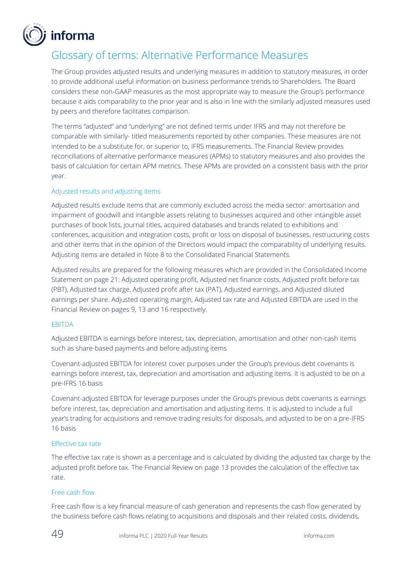

### Glossary of terms: Alternative Performance Measures

The Group provides adjusted results and underlying measures in addition to statutory measures, in order to provide additional useful information on business performance trends to Shareholders. The Board considers these non-GAAP measures as the most appropriate way to measure the Group's performance because it aids comparability to the prior year and is also in line with the similarly adjusted measures used by peers and therefore facilitates comparison.

The terms "adjusted" and "underlying" are not defined terms under IFRS and may not therefore be comparable with similarly- titled measurements reported by other companies. These measures are not intended to be a substitute for, or superior to, IFRS measurements. The Financial Review provides reconciliations of alternative performance measures (APMs) to statutory measures and also provides the basis of calculation for certain APM metrics. These APMs are provided on a consistent basis with the prior year.

### Adjusted results and adjusting items

Adjusted results exclude items that are commonly excluded across the media sector: amortisation and impairment of goodwill and intangible assets relating to businesses acquired and other intangible asset purchases of book lists, journal titles, acquired databases and brands related to exhibitions and conferences, acquisition and integration costs, profit or loss on disposal of businesses, restructuring costs and other items that in the opinion of the Directors would impact the comparability of underlying results. Adjusting items are detailed in Note 8 to the Consolidated Financial Statements.

Adjusted results are prepared for the following measures which are provided in the Consolidated Income Statement on page 21: Adjusted operating profit, Adjusted net finance costs, Adjusted profit before tax (PBT), Adjusted tax charge, Adjusted profit after tax (PAT), Adjusted earnings, and Adjusted diluted earnings per share. Adjusted operating margin, Adjusted tax rate and Adjusted EBITDA are used in the Financial Review on pages 9, 13 and 16 respectively.

### EBITDA

Adjusted EBITDA is earnings before interest, tax, depreciation, amortisation and other non-cash items such as share-based payments and before adjusting items

Covenant-adjusted EBITDA for interest cover purposes under the Group's previous debt covenants is earnings before interest, tax, depreciation and amortisation and adjusting items. It is adjusted to be on a pre-IFRS 16 basis

Covenant-adjusted EBITDA for leverage purposes under the Group's previous debt covenants is earnings before interest, tax, depreciation and amortisation and adjusting items. It is adjusted to include a full year's trading for acquisitions and remove trading results for disposals, and adjusted to be on a pre-IFRS 16 basis

### Effective tax rate

The effective tax rate is shown as a percentage and is calculated by dividing the adjusted tax charge by the adjusted profit before tax. The Financial Review on page 13 provides the calculation of the effective tax rate.

### Free cash flow

Free cash flow is a key financial measure of cash generation and represents the cash flow generated by the business before cash flows relating to acquisitions and disposals and their related costs, dividends,